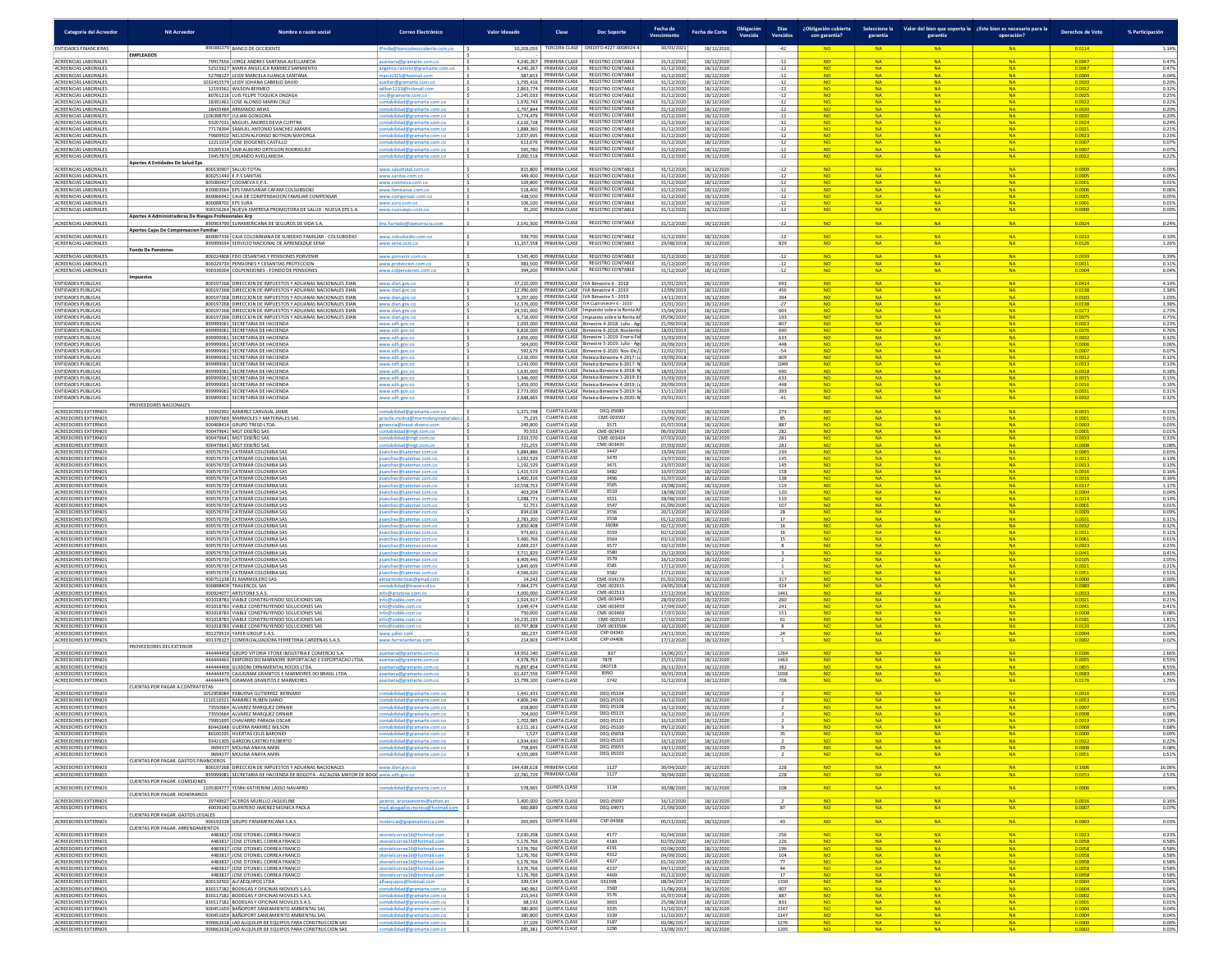| Categoría del Acreedor                                                              | <b>Nit Acreedor</b>                                                   | Nombre o razón socia                                                                                                                                                                   | Correo Electrónico                                                                       | Valor Idexado                         | Clase                                                                    | <b>Doc Soporte</b>                                                                                                                        | Fecha de<br>Vencimiento                | Fecha de Corte                         | Obligación<br>Vencida | <b>Días</b><br>Vencidos    | ¿Obligación cubierta<br>con garantía? | garantía                            | garantía                            | Seleccione la Valor del bien que soporta la ¿Este bien es necesario para la<br>operación? | Derechos de Voto           | % Participación         |
|-------------------------------------------------------------------------------------|-----------------------------------------------------------------------|----------------------------------------------------------------------------------------------------------------------------------------------------------------------------------------|------------------------------------------------------------------------------------------|---------------------------------------|--------------------------------------------------------------------------|-------------------------------------------------------------------------------------------------------------------------------------------|----------------------------------------|----------------------------------------|-----------------------|----------------------------|---------------------------------------|-------------------------------------|-------------------------------------|-------------------------------------------------------------------------------------------|----------------------------|-------------------------|
| ENTIDADES FINANCIERAS                                                               |                                                                       | 890300279 BANCO DE OCCIDENTE                                                                                                                                                           |                                                                                          | 10,209,059                            | TERCERA CLASE                                                            | REDITO #227-0008924-4                                                                                                                     | 30/01/202                              | 18/12/202                              |                       |                            |                                       |                                     |                                     |                                                                                           | 0.0114                     |                         |
| ACREENCIAS LABORALES<br>ACREENCIAS LABORALES                                        | <b>EMPLEADOS</b>                                                      | <b>79917656 IORGE ANDRES SANTANA AVELLANEDA</b><br>52515627 MARIA ANGELICA RAMIREZ SARMIENTO                                                                                           | santana@gramarte.com.co<br>angelica.ramirez@gramarte.com.co                              |                                       | 4.240.267 PRIMERA CLASE                                                  | <b>REGISTRO CONTABLE</b><br>4,240,267   PRIMERA CLASE   REGISTRO CONTABLE                                                                 | 31/12/202<br>31/12/2020                | 18/12/2020<br>18/12/2020               |                       | $-12$                      | <b>NO</b><br>NO.                      | <b>NA</b><br><b>NA</b>              | <b>NA</b><br><b>NA</b>              | <b>NA</b><br><b>NA</b>                                                                    | 0.0047<br>0.0047           | 0.47%<br>0.47%          |
| ACREENCIAS LABORALES<br>ACREENCIAS LABORALES                                        |                                                                       | 52798127 LEIDY MARCELA SUANCA SANTANA<br>1032410579 LEIDY JOHANA CABREJO DAVID                                                                                                         | archi325@hotmail.com<br>auxiliar@gramarte.com.co                                         |                                       | 1,795,416 PRIMERA CLASE                                                  | 387,853 PRIMERA CLASE REGISTRO CONTABLE<br><b>REGISTRO CONTABLE</b>                                                                       | 31/12/2020<br>31/12/2020               | 18/12/2020<br>18/12/2020               |                       | $-12$<br>$-12$<br>$-12$    | <b>NO</b><br><b>NO</b>                | <b>NA</b><br><b>NA</b>              | <b>NA</b><br><b>NA</b>              | <b>NA</b><br><b>NA</b>                                                                    | 0.0004<br>0.0020           | 0.04%<br>0.20%          |
| ACREENCIAS LABORALES<br>ACREENCIAS LABORALES                                        |                                                                       | 12193562 WILSON BERMEO<br>80761216 LUIS FELIPE TOQUICA ONZAGA                                                                                                                          | ilber1233@hotmail.cor<br>cnc@gramarte.com.co                                             | 2,245,033                             | 2,863,774 PRIMERA CLASE<br>PRIMERA CLASE                                 | REGISTRO CONTABLE<br>REGISTRO CONTABLE                                                                                                    | 31/12/2020<br>31/12/202                | 18/12/2020<br>18/12/2020               |                       | $-12$<br>$-12$             | <b>NO</b>                             | <b>NA</b>                           | <b>NA</b>                           | <b>NA</b>                                                                                 | 0.0032<br>0.0025           | 0.32%<br>0.25%          |
| ACREENCIAS LABORALES<br>ACREENCIAS LABORALES                                        |                                                                       | 18391461 JOSE ALONSO MARIN CRUZ<br>18435484 ARMANDO ARIAS                                                                                                                              | ntabilidad@gramarte.com.co<br>abilidad@gramarte.com.c                                    | 1,970,743                             | PRIMERA CLASE                                                            | <b>REGISTRO CONTABLE</b><br>1,797,844 PRIMERA CLASE REGISTRO CONTABLE                                                                     | 31/12/2020<br>31/12/2020               | 18/12/2020<br>18/12/2020               |                       | $-12$<br>$-12$             | <b>NO</b><br>NO.                      | <b>NA</b><br><b>NA</b>              | <b>NA</b><br><b>NA</b>              | <b>NA</b><br><b>NA</b>                                                                    | 0.0022<br>0.0020           | 0.22%<br>0.20%          |
| ACREENCIAS LABORALES<br>ACREENCIAS LABORALES                                        |                                                                       | 1106398797 JULIAN GONGORA<br>93207011 MIGUEL ANDRES DEVIA CUPITRA                                                                                                                      | ntabilidad@gramarte.com.co<br>intabilidad@gramarte.com.co                                |                                       |                                                                          | 1,774,479 PRIMERA CLASE REGISTRO CONTABLE<br>2 116 728 PRIMERA CLASE REGISTRO CONTABLE                                                    | 31/12/202<br>31/12/2020                | 18/12/202<br>18/12/2020                |                       | $-12$<br>$-12$             | <b>NO</b><br><b>NO</b>                | <b>NA</b><br><b>NA</b>              | <b>NA</b><br><b>NA</b>              | <b>NA</b><br><b>NA</b>                                                                    | 0.0020<br>0.0024           | 0.20%<br>0.24%          |
| ACREENCIAS LABORALES<br>ACREENCIAS LABORALES                                        |                                                                       | 77178394 SAMUEL ANTONIO SANCHEZ AMARIS<br>79609502 NELSON ALFONSO BOTHON MAYORGA                                                                                                       | ontabilidad@gramarte.com.co<br>abilidad@gramarte.com.co                                  | 1,888,360                             | 2,037,695 PRIMERA CLASE<br>PRIMERA CLASE                                 | PRIMERA CLASE   REGISTRO CONTABLE<br><b>REGISTRO CONTABLE</b><br><b>REGISTRO CONTABLE</b>                                                 | 31/12/2020<br>31/12/2020               | 18/12/2020<br>18/12/2020               |                       | $-12$<br>$-12$             | <b>NO</b><br><b>NO</b>                | <b>NA</b><br><b>NA</b>              | <b>NA</b><br><b>NA</b>              | <b>NA</b><br><b>NA</b>                                                                    | 0.0021<br>0.0023           | 0.21%<br>0.23%          |
| ACREENCIAS LABORALES<br>ACREENCIAS LABORALES<br>ACREENCIAS LABORALES                |                                                                       | 12211014 JOSE DIOGENES CASTILLO<br>93205314 SAIR ALBEIRO ORTEGON RODRIGUEZ<br>19457870 ORLANDO AVELLANEDA                                                                              | ntabilidad@gramarte.com.co<br>abilidad@gramarte.com.co                                   | 613,076<br>595,780<br>2,000,518       | PRIMERA CLASE<br>PRIMERA CLASE                                           | <b>REGISTRO CONTABLE</b><br>REGISTRO CONTABLE                                                                                             | 31/12/2020<br>31/12/2020<br>31/12/2020 | 18/12/2020<br>18/12/2020<br>18/12/2020 |                       | $\frac{-12}{-12}$<br>$-12$ | <b>NO</b><br><b>NO</b>                | <b>NA</b><br><b>NA</b><br>NA.       | <b>NA</b>                           | <b>NA</b><br><b>NA</b><br><b>NA</b>                                                       | 0.0007<br>0.000<br>0.0022  | 0.07%<br>0.07%<br>0.22% |
| ACREENCIAS LABORALES                                                                | Aportes A Entidades De Salud Eps                                      | 800130907 SALUD TOTAL                                                                                                                                                                  | tabilidad@gramarte.com.c<br>www.saludtotal.com.co                                        | 815,800                               | PRIMERA CLASE                                                            | <b>REGISTRO CONTABLE</b>                                                                                                                  | 31/12/2020                             | 18/12/202                              |                       | $-12$                      | <b>NO</b>                             | <b>NA</b>                           | <b>N</b>                            | <b>N</b>                                                                                  | 0.0009                     | 0.09%                   |
| ACREENCIAS LABORALES<br>ACREENCIAS LABORALES                                        |                                                                       | 800251440 E.P.S SANITAS<br>805000427 COOMEVA E.P.S                                                                                                                                     | www.sanitas.com.co<br>www.coomeva.com.co                                                 | 109,800                               | 449.400 PRIMERA CLASE<br>PRIMERA CLASE                                   | <b>REGISTRO CONTABLE</b><br><b>REGISTRO CONTABLE</b>                                                                                      | 31/12/2020<br>31/12/2020               | 18/12/2020<br>18/12/2020               |                       | $-12$<br>$-12$             | <b>NO</b><br><b>NO</b>                | NA.<br><b>NA</b>                    | <b>NA</b><br><b>NA</b>              | <b>NA</b><br><b>NA</b>                                                                    | 0.0005<br>0.0001           | 0.05%<br>0.01%          |
| ACREENCIAS LABORALES<br>ACREENCIAS LABORALES                                        |                                                                       | 830003564 EPS FAMISANAR CAFAM-COLSUBSIDIO<br>860066942 CAJA DE COMPENSACION FAMILIAR COMPENSAR                                                                                         | www.famisanar.com.co<br>www.compensar.com.co                                             | 518,400<br>438,500                    | PRIMERA CLASE<br>PRIMERA CLASE                                           | <b>REGISTRO CONTABLE</b><br><b>REGISTRO CONTABLE</b>                                                                                      | 31/12/2020<br>31/12/2020               | 18/12/2020<br>18/12/2020               |                       | $-12$<br>$-12$             | <b>NO</b><br><b>NO</b>                | <b>NA</b><br><b>NA</b>              | <b>NA</b><br><b>NA</b>              | <b>NA</b><br><b>NA</b>                                                                    | 0.0006<br>0.0005           | 0.06%<br>0.05%          |
| ACREENCIAS LABORALES<br>ACREENCIAS LABORALES                                        |                                                                       | 800088702 EPS SURA<br>900156264 NUEVA EMPRESA PROMOTORA DE SALUD - NUEVA EPS S.A.                                                                                                      | www.sura.com.co<br>www.nuevaeps.com.o                                                    | 106,100<br>35,200                     | PRIMERA CLASE<br>PRIMERA CLASE                                           | <b>REGISTRO CONTABLE</b><br>REGISTRO CONTABLE                                                                                             | 31/12/2020<br>31/12/2020               | 18/12/2020<br>18/12/202                |                       | $-12$<br>$\cdot 12$        | <b>NO</b>                             | NA                                  | <b>NA</b>                           | <b>NA</b>                                                                                 | 0.0001<br>0.0000           | 0.01%<br>0.00%          |
| ACREENCIAS LABORALES                                                                | Aportes A Administradoras De Riesgos Profesionales Arp                | 890903790 SURAMERICANA DE SEGUROS DE VIDA S.A.                                                                                                                                         | lina.hurtado@asesorsura.ci                                                               | 2,141,500                             | PRIMERA CLASE                                                            | <b>REGISTRO CONTABLE</b>                                                                                                                  | 31/12/2020                             | 18/12/202                              |                       | $-12$                      | NO <sub>1</sub>                       | NA                                  | <b>NA</b>                           | <b>NA</b>                                                                                 | 0.0024                     | 0.24%                   |
| ACREENCIAS LABORALES<br>ACREENCIAS LABORALES                                        | Aportes Cajas De Compensacion Familiar                                | 860007336 CAJA COLOMBIANA DE SUBSIDIO FAMILIAR - COLSUBSIDIO<br>899999034 SERVICIO NACIONAL DE APRENDIZAJE SENA                                                                        | www.colsubsidio.com.co<br>www.sena.com.co                                                | 939.700<br>11,357,558                 | PRIMERA CLASE<br>PRIMERA CLASE                                           | <b>REGISTRO CONTABLE</b><br><b>REGISTRO CONTABLE</b>                                                                                      | 31/12/2020<br>29/08/2018               | 18/12/2020<br>18/12/2020               |                       | $-12$<br>829               | <b>NO</b><br><b>NO</b>                | NA.<br><b>NA</b>                    | <b>NA</b><br><b>NA</b>              | <b>NA</b><br><b>NA</b>                                                                    | 0.0010<br>0.0126           | 0.10%<br>1.26%          |
| ACREENCIAS LABORALES                                                                | <b>Fondo De Pensiones</b>                                             | 800224808 FDO CESANTIAS Y PENSIONES PORVENIR                                                                                                                                           | www.porvenir.com.co                                                                      | 3,545,400                             | PRIMERA CLASE                                                            | <b>REGISTRO CONTABLE</b>                                                                                                                  | 31/12/2020                             | 18/12/2020                             |                       | $-12$                      | <b>NO</b>                             | <b>NA</b>                           | <b>NA</b>                           | <b>NA</b>                                                                                 | 0.0039                     | 0.39%                   |
| ACREENCIAS LABORALES<br>ACREENCIAS LABORALES                                        |                                                                       | 800229739 PENSIONES Y CESANTIAS PROTECCION<br>900336004 COLPENSIONES - FONDO DE PENSIONES                                                                                              | www.proteccion.com.co<br>vww.colpensiones.com                                            | 983,500<br>394,200                    | PRIMERA CLASE                                                            | PRIMERA CLASE REGISTRO CONTABLE<br><b>REGISTRO CONTABLE</b>                                                                               | 31/12/2020<br>31/12/2020               | 18/12/2020<br>18/12/2020               |                       | $-12$<br>$-12$             | NO <sub>1</sub><br>NO                 | <b>NA</b><br>NA                     | <b>NA</b>                           | <b>NA</b><br><b>NA</b>                                                                    | 0.0011<br>0.0004           | 0.11%<br>0.04%          |
| <b>ENTIDADES PUBLICAS</b>                                                           | <b>Impuestos</b>                                                      | 800197268 DIRECCION DE IMPUESTOS Y ADUANAS NACIONALES DIAN                                                                                                                             | www.dian.gov.co                                                                          | 37,210,000                            |                                                                          | PRIMERA CLASE   IVA Bimestre 6 - 2018                                                                                                     | 15/01/2019                             | 18/12/202                              |                       | 693                        | <b>NO</b>                             | NA.                                 | <b>NA</b>                           | <b>NA</b>                                                                                 | 0.0414                     | 4.14%                   |
| <b>ENTIDADES PUBLICAS</b><br><b>ENTIDADES PUBLICAS</b>                              |                                                                       | 800197268 DIRECCION DE IMPUESTOS Y ADUANAS NACIONALES DIAN<br>800197268 DIRECCION DE IMPUESTOS Y ADUANAS NACIONALES DIAN                                                               | www.dian.gov.co<br>www.dian.gov.co                                                       |                                       |                                                                          | 12.390.000 PRIMERA CLASE   IVA Bimestre 4 - 2019<br>9.297.000 PRIMERA CLASE   IVA Bimestre 5 - 2019                                       | 12/09/2019<br>14/11/2019               | 18/12/2020<br>18/12/2020               |                       | 456<br>394                 | <b>NO</b><br>NO.                      | <b>NA</b><br><b>NA</b>              | <b>NA</b><br><b>NA</b>              | <b>NA</b><br><b>NA</b>                                                                    | 0.0138<br>0.0103           | 1.38%<br>1.03%          |
| <b>ENTIDADES PUBLICAS</b><br><b>ENTIDADES PUBLICAS</b><br><b>ENTIDADES PUBLICAS</b> |                                                                       | 800197268 DIRECCION DE IMPUESTOS Y ADUANAS NACIONALES DIAN<br>800197268 DIRECCION DE IMPUESTOS Y ADUANAS NACIONALES DIAN<br>800197268 DIRECCION DE IMPUESTOS Y ADUANAS NACIONALES DIAN | www.dian.gov.co<br>www.dian.gov.co                                                       |                                       |                                                                          | 12,376,000 PRIMERA CLASE IVA Cuatrimestre 6 - 2020<br>24,591,000 PRIMERA CLASE Impuesto sobre la Renta A                                  | 15/01/2021<br>15/04/2019<br>05/06/202  | 18/12/2020<br>18/12/2020               |                       | $-27$<br>603               | <b>NO</b><br><b>NO</b>                | <b>NA</b><br><b>NA</b>              | <b>NA</b><br><b>NA</b>              | <b>NA</b><br><b>NA</b>                                                                    | 0.0138<br>0.0273<br>0.0075 | 1.38%<br>2.73%          |
| <b>ENTIDADES PUBLICAS</b><br><b>ENTIDADES PUBLICAS</b>                              |                                                                       | 899999061 SECRETARIA DE HACIENDA<br>899999061 SECRETARIA DE HACIENDA                                                                                                                   | www.dian.gov.co<br>www.sdh.gov.co<br>www.sdh.gov.co                                      | 6,716,000<br>6,816,000                |                                                                          | PRIMERA CLASE Impuesto sobre la Renta Añ<br>2,093,000 PRIMERA CLASE Bimestre 4-2018: Julio - Ago<br>PRIMERA CLASE Bimestre 6-2018: Novien | 21/09/2018<br>18/01/201                | 18/12/2020<br>18/12/2020<br>18/12/202  |                       | 193<br>807<br>690          | <b>NO</b>                             | <b>NA</b><br><b>NA</b>              | <b>NA</b><br><b>N</b>               | NA<br><b>NA</b>                                                                           | 0.0023<br>0.0076           | 0.75%<br>0.23%<br>0.76% |
| <b>ENTIDADES PUBLICAS</b><br><b>ENTIDADES PUBLICAS</b>                              |                                                                       | 899999061 SECRETARIA DE HACIENDA<br>899999061 SECRETARIA DE HACIENDA                                                                                                                   | www.sdh.gov.co<br>www.sdh.gov.co                                                         |                                       |                                                                          | 2,856,000 PRIMERA CLASE Bimestre 1-2019: Enero-Fe<br>564.000 PRIMERA CLASE Bimestre 5-2019: Julio - Ap                                    | 15/03/2019<br>20/09/2019               | 18/12/2020<br>18/12/2020               |                       | 633<br>448                 | <b>NO</b><br><b>NO</b>                | <b>NA</b><br><b>NA</b>              | <b>N</b><br><b>NA</b>               | <b>NA</b><br><b>NA</b>                                                                    | 0.0032<br>0.0006           | 0.32%<br>0.06%          |
| <b>ENTIDADES PUBLICAS</b><br><b>ENTIDADES PUBLICAS</b>                              |                                                                       | 899999061 SECRETARIA DE HACIENDA<br>899999061 SECRETARIA DE HACIENDA                                                                                                                   | www.sdh.gov.co<br>www.sdh.gov.co                                                         |                                       |                                                                          | 592.679 PRIMERA CLASE Bimestre 6-2020: Nov-Dic<br>1,116,000 PRIMERA CLASE Reteica Bimestre 4-2017:                                        | 12/02/2021<br>19/09/2018               | 18/12/2020<br>18/12/2020               |                       | $-54$<br>809               | <b>NO</b><br>NO.                      | <b>NA</b><br><b>NA</b>              | <b>NA</b><br><b>NA</b>              | <b>NA</b><br><b>NA</b>                                                                    | 0.0007<br>0.0012           | 0.07%<br>0.12%          |
| <b>ENTIDADES PUBLICAS</b><br><b>ENTIDADES PUBLICAS</b>                              |                                                                       | 899999061 SECRETARIA DE HACIENDA<br>899999061 SECRETARIA DE HACIENDA                                                                                                                   | www.sdh.gov.co<br>www.sdh.gov.co                                                         | 1,143,000                             |                                                                          | PRIMERA CLASE Reteica Bimestre 6-2017:<br>1,635,000 PRIMERA CLASE Reteica Bimestre 6-2018:                                                | 19/01/2018<br>18/01/2019               | 18/12/2020<br>18/12/2020               |                       | 1049<br>690                | <b>NO</b>                             | <b>NA</b>                           | <b>NA</b>                           | <b>NA</b>                                                                                 | 0.0013<br>0.0018           | 0.13%<br>0.18%          |
| <b>ENTIDADES PUBLICAS</b><br><b>ENTIDADES PUBLICAS</b>                              |                                                                       | 899999061 SECRETARIA DE HACIENDA<br>899999061 SECRETARIA DE HACIENDA                                                                                                                   | www.sdh.gov.co<br>www.sdh.gov.co                                                         | 1,346,000                             |                                                                          | PRIMERA CLASE Reteica Bimestre 1-2019: 8<br>1,459,000 PRIMERA CLASE Reteica Bimestre 4-2019:                                              | 15/03/2019<br>20/09/201                | 18/12/2020<br>18/12/202                |                       | 633<br>448                 | <b>NO</b><br><b>NO</b>                | <b>NA</b><br><b>NA</b>              | <b>NA</b><br><b>N</b>               | NA<br><b>N</b>                                                                            | 0.0015<br>0.0016           | 0.15%<br>0.16%          |
| <b>ENTIDADES PUBLICAS</b><br><b>ENTIDADES PUBLICAS</b>                              |                                                                       | 899999061 SECRETARIA DE HACIENDA<br>899999061 SECRETARIA DE HACIENDA                                                                                                                   | www.sdh.gov.co<br>www.sdh.gov.co                                                         | 2,773,000                             |                                                                          | PRIMERA CLASE Reteica Bimestre 5-2019:<br>2,848,665 PRIMERA CLASE Reteica Bimestre 6-2020: I                                              | 15/11/2019<br>29/01/2021               | 18/12/2020<br>18/12/2020               |                       | 393<br>$-41$               | <b>NO</b><br><b>NO</b>                | NA.<br><b>NA</b>                    | <b>NA</b><br><b>NA</b>              | <b>NA</b><br><b>NA</b>                                                                    | 0.0031<br>0.0032           | 0.31%<br>0.32%          |
| ACREEDORES EXTERNOS<br>ACREEDORES EXTERNOS                                          | PROVEEDORES NACIONALES                                                | 19342992 RAMIREZ CARVAIAL JAIME<br>830097669 MARMOLES Y MATERIALES SAS                                                                                                                 | ntabilidad@gramarte.com.co<br>priscila.molina@marmolesymat                               | 75,235                                | 1,371,748 CUARTA CLASE<br><b>CUARTA CLASE</b>                            | DEQ-05089<br>CME-003592                                                                                                                   | 15/03/2020<br>23/09/2020               | 18/12/2020<br>18/12/2020               |                       | 273<br>85                  | NO.<br><b>NO</b>                      | <b>NA</b><br><b>NA</b>              | <b>NA</b><br><b>NA</b>              | <b>NA</b><br><b>NA</b>                                                                    | 0.0015<br>0.0001           | 0.15%<br>0.01%          |
| ACREEDORES EXTERNOS<br>ACREEDORES EXTERNOS                                          |                                                                       | 900408414 GRUPO TRESD LTDA.<br>900479641 MGT DISENO SAS                                                                                                                                | erencia@tresd-diseno.con<br>tabilidad@mgt.com.co                                         | 249,800<br>70,553                     | <b>CUARTA CLASE</b><br><b>CUARTA CLASE</b>                               | 3571<br>CMF-003433                                                                                                                        | 01/07/2018<br>06/03/2020               | 18/12/2020<br>18/12/2020               |                       | 887<br>282                 | <b>NO</b>                             | <b>NA</b>                           | <b>NA</b>                           | <b>NA</b>                                                                                 | 0.0003<br>0.0001           | 0.03%<br>0.01%          |
| ACREEDORES EXTERNOS<br>ACREEDORES EXTERNOS                                          |                                                                       | 900479641 MGT DISENO SAS<br>900479641 MGT DISENO SAS                                                                                                                                   | ntabilidad@mgt.com.co<br>bilidad@mgt.com.o                                               | 2,933,570                             | <b>CUARTA CLASE</b><br>721,255 CUARTA CLASE                              | CME-003434<br>CME-003435                                                                                                                  | 07/03/2020<br>07/03/2020               | 18/12/2020<br>18/12/2020               |                       | 281<br>281                 | NO <sub>1</sub><br>NO <sub>1</sub>    | <b>NA</b><br><b>NA</b>              | <b>NA</b><br><b>NA</b>              | N/<br><b>NA</b>                                                                           | 0.0033<br>0.0008           | 0.33%<br>0.08%          |
| <b>ACREEDORES EXTERNOS</b><br>ACREEDORES EXTERNOS                                   |                                                                       | 900576739 CATEMAR COLOMBIA SAS<br>900576739 CATEMAR COLOMBIA SAS                                                                                                                       | anchez@catemar.com.co<br>sanchez@catemar.com.co                                          | 5,884,886                             | <b>CUARTA CLASE</b><br>1,192,529 CUARTA CLASE                            | 3447<br>3470                                                                                                                              | 19/04/202<br>23/07/2020                | 18/12/202<br>18/12/2020                |                       | 239<br>145                 | <b>NO</b><br>NO.                      | <b>NA</b><br>NA.                    | <b>NA</b><br><b>NA</b>              | <b>NA</b><br><b>NA</b>                                                                    | 0.0065<br>0.0013           | 0.65%<br>0.13%          |
| ACREEDORES EXTERNOS<br>ACREEDORES EXTERNOS                                          |                                                                       | 900576739 CATEMAR COLOMBIA SAS<br>900576739 CATEMAR COLOMBIA SAS                                                                                                                       | isanchez@catemar.com.co<br>sanchez@catemar.com.co                                        |                                       | 1.192.529 CUARTA CLASE<br>1,415,519 CUARTA CLASE                         | 3471<br>3482                                                                                                                              | 23/07/2020<br>10/07/2020               | 18/12/2020<br>18/12/2020               |                       | 145<br>158                 | <b>NO</b><br><b>NO</b>                | <b>NA</b><br><b>NA</b>              | <b>NA</b><br><b>NA</b>              | <b>NA</b><br><b>NA</b>                                                                    | 0.0013<br>0.0016           | 0.13%<br>0.16%          |
| ACREEDORES EXTERNOS<br>ACREEDORES EXTERNOS                                          |                                                                       | 900576739 CATEMAR COLOMBIA SAS<br>900576739 CATEMAR COLOMBIA SAS                                                                                                                       | isanchez@catemar.com.co<br>isanchez@catemar.com.co                                       |                                       | 1,400,316 CUARTA CLASE<br>10,558,753 CUARTA CLASE                        | 3496<br>3505                                                                                                                              | 31/07/2020<br>19/08/202                | 18/12/2020<br>18/12/2020               |                       | 138<br>119                 | <b>NO</b>                             | <b>NA</b>                           | <b>NA</b>                           | <b>NA</b>                                                                                 | 0.0016<br>0.0117           | 0.16%<br>1.17%          |
| ACREEDORES EXTERNOS<br>ACREEDORES EXTERNOS<br>ACREEDORES EXTERNOS                   |                                                                       | 900576739 CATEMAR COLOMBIA SAS<br>900576739 CATEMAR COLOMBIA SAS<br>900576739 CATEMAR COLOMBIA SAS                                                                                     | jisanchez@catemar.com.co<br>anchez@catemar.com.c                                         | 1,288,771                             | 403,204 CUARTA CLASE<br>CUARTA CLASE<br>51,751 CUARTA CLASE              | 3510<br>3511<br>3547                                                                                                                      | 18/08/2020<br>28/08/2020<br>01/09/2020 | 18/12/2020<br>18/12/2020<br>18/12/2020 |                       | 120<br>110<br>107          | <b>NO</b><br><b>NO</b><br><b>NO</b>   | <b>NA</b><br><b>NA</b><br><b>NA</b> | NA<br><b>NA</b><br><b>N</b>         | <b>NA</b><br><b>N</b>                                                                     | 0.0004<br>0.0014<br>0.0001 | 0.04%<br>0.14%<br>0.01% |
| ACREEDORES EXTERNOS<br>ACREEDORES EXTERNOS                                          |                                                                       | 900576739 CATEMAR COLOMBIA SAS<br>900576739 CATEMAR COLOMBIA SAS                                                                                                                       | iisanchez@catemar.com.co<br>sanchez@catemar.com.co                                       |                                       | 834.038 CUARTA CLASE<br>2.783.200 CUARTA CLASE                           | 3556<br>3558                                                                                                                              | 20/11/2020<br>01/12/2020               | 18/12/2020<br>18/12/2020               |                       | 28<br>17                   | <b>NO</b><br><b>NO</b>                | <b>NA</b><br><b>NA</b>              | <b>NA</b><br><b>NA</b>              | <b>NA</b><br><b>NA</b>                                                                    | 0.0009<br>0.0031           | 0.09%<br>0.31%          |
| ACREEDORES EXTERNOS<br>ACREEDORES EXTERNOS                                          |                                                                       | 900576739 CATEMAR COLOMBIA SAS<br>900576739 CATEMAR COLOMBIA SAS                                                                                                                       | jisanchez@catemar.com.co<br>isanchez@catemar.com.co                                      |                                       | 2,850,408 CUARTA CLASE<br>973,601 CUARTA CLASE                           | 16086<br>3559                                                                                                                             | 02/12/2020<br>02/12/2020               | 18/12/2020<br>18/12/2020               |                       | 16<br>16                   | <b>NO</b><br><b>NO</b>                | <b>NA</b><br><b>NA</b>              | <b>NA</b><br><b>NA</b>              | <b>NA</b><br><b>NA</b>                                                                    | 0.0032<br>0.0011           | 0.32%<br>0.11%          |
| ACREEDORES EXTERNOS<br>ACREEDORES EXTERNOS                                          |                                                                       | 900576739 CATEMAR COLOMBIA SAS<br>900576739 CATEMAR COLOMBIA SAS                                                                                                                       | jisanchez@catemar.com.co<br>sanchez@catemar.com.co                                       | 2,069,237                             | 5,460,766 CUARTA CLASE<br><b>CUARTA CLASE</b>                            | 3564<br>3577                                                                                                                              | 03/12/2020<br>10/12/2020               | 18/12/2020<br>18/12/2020               |                       | 15<br>$\mathbf{s}$         | <b>NO</b>                             | <b>NA</b>                           | <b>NA</b>                           | NA                                                                                        | 0.0061<br>0.0023           | 0.61%<br>0.23%          |
| ACREEDORES EXTERNOS<br>ACREEDORES EXTERNOS                                          |                                                                       | 900576739 CATEMAR COLOMBIA SAS<br>900576739 CATEMAR COLOMBIA SAS                                                                                                                       | sanchez@catemar.com.co                                                                   | 9,409,446                             | 3,711,829 CUARTA CLASE<br><b>CUARTA CLASE</b>                            | 3580<br>3579                                                                                                                              | 15/12/2020<br>16/12/2020               | 18/12/2020<br>18/12/2020               |                       | $\overline{2}$             | <b>NO</b><br><b>NO</b>                | <b>NA</b><br><b>NA</b>              | <b>N</b><br><b>NA</b>               | <b>N</b><br><b>NA</b>                                                                     | 0.0041<br>0.0105           | 0.41%<br>1.05%          |
| ACREEDORES EXTERNOS<br>ACREEDORES EXTERNOS                                          |                                                                       | 900576739 CATEMAR COLOMBIA SAS<br>900576739 CATEMAR COLOMBIA SAS                                                                                                                       | sanchez@catemar.com.c<br>jisanchez@catemar.com.co                                        |                                       | 1.845.609 CUARTA CLASE<br>4.566.620 CUARTA CLASE<br>14,242 CUARTA CLASE  | 3581<br>3582<br>CME-03417A                                                                                                                | 17/12/202<br>17/12/2020                | 18/12/2020<br>18/12/2020               |                       | $\overline{1}$             | <b>NO</b><br><b>NO</b><br>NO.         | <b>NA</b><br><b>NA</b><br><b>NA</b> | <b>NA</b><br><b>NA</b><br><b>NA</b> | <b>N</b><br><b>NA</b><br><b>NA</b>                                                        | 0.0021<br>0.0051<br>0.0000 | 0.21%<br>0.51%          |
| ACREEDORES EXTERNOS<br>ACREEDORES EXTERNOS<br>ACREEDORES EXTERNOS                   |                                                                       | 900751138 EL MARMOLERO SAS<br>900898409 TRAVERCOL SAS<br>900924077 ARTSTONE S.A.S.                                                                                                     | elmarmolerosas@gmail.com<br>contabilidad@travercol.co<br>info@artstone.com.co            | 3,000,000                             | 7,964,275 CUARTA CLASE<br><b>CUARTA CLASE</b>                            | CME-002915<br>CME-002513                                                                                                                  | 01/02/2020<br>24/05/2018<br>17/12/2016 | 18/12/2020<br>18/12/2020<br>18/12/2020 |                       | 317<br>924<br>1441         | <b>NO</b><br><b>NO</b>                | <b>NA</b><br><b>NA</b>              | <b>NA</b><br><b>NA</b>              | <b>NA</b><br><b>NA</b>                                                                    | 0.0089<br>0.0033           | 0.00%<br>0.89%<br>0.33% |
| ACREEDORES EXTERNOS<br>ACREEDORES EXTERNOS                                          |                                                                       | 901018783 VIABLE CONSTRUYENDO SOLUCIONES SAS<br>901018783 VIABLE CONSTRUYENDO SOLUCIONES SAS                                                                                           | fo@viable.com.co<br>fo@viable.com.co                                                     | 1,924,917<br>3,649,474                | <b>CUARTA CLASE</b><br>CUARTA CLASE                                      | CME-003443<br>CMF-003459                                                                                                                  | 28/03/202<br>17/04/2020                | 18/12/2020<br>18/12/2020               |                       | 260<br>241                 | NO <sub>1</sub>                       | <b>NA</b>                           | <b>NA</b>                           | NA                                                                                        | 0.0021<br>0.0041           | 0.21%<br>0.41%          |
| ACREEDORES EXTERNOS<br>ACREEDORES EXTERNOS                                          |                                                                       | 901018783 VIABLE CONSTRUYENDO SOLUCIONES SAS<br>901018783 VIABLE CONSTRUYENDO SOLUCIONES SAS                                                                                           | nfo@viable.com.co<br>info@viable.com.co                                                  | 750,000<br>16,235,235                 | <b>CUARTA CLASE</b><br><b>CUARTA CLASE</b>                               | CME-003469<br>CME-003533                                                                                                                  | 17/07/202<br>17/10/2020                | 18/12/2020<br>18/12/2020               |                       | 151<br>61                  | <b>NO</b><br><b>NO</b>                | <b>NA</b><br><b>NA</b>              | <b>N</b><br><b>NA</b>               | <b>N</b><br><b>NA</b>                                                                     | 0.0008<br>0.0181           | 0.08%<br>1.81%          |
| ACREEDORES EXTERNOS<br>ACREEDORES EXTERNOS                                          |                                                                       | 901018783 VIABLE CONSTRUYENDO SOLUCIONES SAS<br>901279519 YAFER GROUP S.A.S.                                                                                                           | nfo@viable.com.co<br>www.yafer.com                                                       |                                       | 10.797.808 CUARTA CLASE<br>381.237 CUARTA CLASE                          | CME-0033566<br>CXP-04340                                                                                                                  | 10/12/2020<br>24/11/2020               | 18/12/2020<br>18/12/2020               |                       | 8<br>24                    | <b>NO</b><br><b>NO</b>                | NA.<br><b>NA</b>                    | <b>NA</b><br><b>NA</b>              | <b>N</b><br><b>NA</b>                                                                     | 0.0120<br>0.0004           | 1.20%<br>0.04%          |
| ACREEDORES EXTERNOS<br>ACREEDORES EXTERNOS                                          | PROVEEDORES DEL EXTERIOR                                              | 901376127 COMERCIALIZADORA FERRETERIA CARDENAS S.A.S.<br>44444458 GRUPO VITORIA STONE INDUSTRIA E COMERCIO S.A.                                                                        | www.ferrecardenas.com                                                                    |                                       | 214,903 CUARTA CLASE<br><b>CUARTA CLAS</b>                               | CXP-04406<br>837                                                                                                                          | 17/12/2020<br>14/06/201                | 18/12/2020                             |                       | <sup>1</sup><br>1264       | <b>NO</b><br><b>NO</b>                | <b>NA</b><br><b>NA</b>              | <b>NA</b><br><b>NA</b>              | <b>NA</b><br>N/                                                                           | 0.0002<br>0.0166           | 0.02%<br>1.66%          |
| <b>ACREEDORES EXTERNOS</b><br>ACREEDORES EXTERNOS                                   |                                                                       | 44444463 EMPORIO DO MARMORE IMPORTACAO E EXPORTACAO LTDA.<br>44444468 GUIDONI ORNAMENTAL ROCKS LTDA.                                                                                   | asantana@gramarte.com.co<br>asantana@gramarte.com.co<br>asantana@gramarte.com.co         | 14,952,140<br>4,978,763<br>76,897,854 | <b>CUARTA CLASE</b><br><b>CUARTA CLASE</b>                               | 787E<br>04071B                                                                                                                            | 25/11/2016<br>26/11/2019               | 18/12/2020<br>18/12/2020<br>18/12/202  |                       | 1463<br>382                | <b>NO</b><br><b>NO</b>                | <b>NA</b><br><b>NA</b>              | <b>NA</b>                           | <b>NA</b>                                                                                 | 0.0055<br>0.0855           | 0.55%<br>8.55%          |
| <b>ACREEDORES EXTERNOS</b><br>ACREEDORES EXTERNOS                                   |                                                                       | 444444470 CAJUGRAM GRANITOS E MARMORES DO BRASIL LTDA<br>444444476 IGRAMAR GRANITOS E MARMORES                                                                                         | asantana@gramarte.com.co<br>asantana@gramarte.com.co                                     | 61,427,556<br>15,799,100              | <b>CUARTA CLASE</b><br><b>CUARTA CLASE</b>                               | 8990<br>3742                                                                                                                              | 30/01/2018<br>31/12/2018               | 18/12/2020<br>18/12/2020               |                       | 1038<br>708                | <b>NO</b><br><b>NO</b>                | NA -<br><b>NA</b>                   | <b>NA</b><br><b>NA</b>              | <b>NA</b><br><b>NA</b>                                                                    | 0.0683<br>0.0176           | 6.83%<br>1.76%          |
| ACREEDORES EXTERNOS                                                                 | UENTAS POR PAGAR A CONTRATISTAS                                       | 1052958084 PABUENA GUTIERREZ BERNARD                                                                                                                                                   | intabilidad@gramarte.com.co                                                              | 1,441,431                             | <b>CUARTA CLASE</b>                                                      | DEQ-05104                                                                                                                                 | 16/12/2020                             | 18/12/2020                             |                       |                            | <b>NO</b>                             | <b>NA</b>                           |                                     | <b>NA</b>                                                                                 | 0.0016                     | 0.16%                   |
| ACREEDORES EXTERNOS<br>ACREEDORES EXTERNOS                                          |                                                                       | 1110116521 RAMIREZ RUBEN DARIO<br>73550664 ALVAREZ MARQUEZ ORNAIR                                                                                                                      | tabilidad@gramarte.com.co<br>iilidad@gramarte.com.co                                     | 4,806,246                             | <b>CUARTA CLASE</b><br>658,800 CUARTA CLASE                              | DEQ-05106<br>DEQ-05108                                                                                                                    | 16/12/2020<br>16/12/2020               | 18/12/2020<br>18/12/2020               |                       |                            | <b>NO</b>                             | NA.<br><b>NA</b>                    | <b>NA</b>                           | <b>NA</b><br><b>NA</b>                                                                    | 0.0053<br>0.0007           | 0.53%<br>0.07%          |
| ACREEDORES EXTERNOS<br>ACREEDORES EXTERNOS<br><b>ACREEDORES EXTERNOS</b>            |                                                                       | 73550664 ALVAREZ MARQUEZ ORNAIR<br>79991695 CHAVARRO PARADA OSCAR<br>80442648 GUERRA RAMIREZ WILSON                                                                                    | dad@gramarte.com.co<br>1@gram                                                            | 704,000                               | <b>CUARTA CLASE</b><br>1,702,985 CUARTA CLASE                            | DEQ-05115<br>DEQ-05123<br>DEQ-05100                                                                                                       | 16/12/2020<br>16/12/2020               | 18/12/2020<br>18/12/2020               |                       |                            | <b>NO</b>                             | NA<br><b>NA</b>                     | <b>NA</b>                           | <b>NA</b><br><b>NA</b>                                                                    | 0.0008<br>0.0019           | 0.08%<br>0.19%          |
| ACREEDORES EXTERNOS<br>ACREEDORES EXTERNOS                                          |                                                                       | 80100295 HUERTAS CELIS BARONIO<br>93421305 GARZON CASTRO FILIRERTO                                                                                                                     | ntabilidad@gramarte.com.co<br>tabilidad@gramarte.com.co<br>ontabilidad@gramarte.com.co   |                                       | $6,111,161$ CUARTA CLASE<br>1,527 CUARTA CLASE<br>1.934.430 CUARTA CLASE | DEQ-05058<br>DEQ-05105                                                                                                                    | 09/12/2020<br>13/11/2020<br>16/12/2020 | 18/12/2020<br>18/12/2020<br>18/12/2020 |                       | 9<br>35<br>$\overline{2}$  | <b>NO</b><br><b>NO</b><br>NO.         | NA<br>NA:<br><b>NA</b>              | NA<br><b>NA</b><br><b>NA</b>        | <b>NA</b><br><b>NA</b><br><b>NA</b>                                                       | 0.0068<br>0.0000<br>0.0022 | 0.68%<br>0.00%<br>0.22% |
| <b>ACREEDORES EXTERNOS</b><br>ACREEDORES EXTERNOS                                   |                                                                       | 9694377 MOLINA ANAYA AMIN<br>9694377 MOLINA ANAYA AMIN                                                                                                                                 | tabilidad@gramarte.com.co<br>tabilidad@gramarte.com.co                                   |                                       | 758,845 CUARTA CLASE<br>4,555,069 CUARTA CLASE                           | DEQ-05055<br>DEQ-05103                                                                                                                    | 19/11/2020<br>16/12/2020               | 18/12/2020<br>18/12/2020               |                       | 29<br>$\overline{2}$       | NO.<br><b>NO</b>                      | <b>NA</b><br><b>NA</b>              | <b>NA</b><br><b>NA</b>              | <b>NA</b><br><b>NA</b>                                                                    | 0.0008<br>0.0051           | 0.08%<br>0.51%          |
| ACREEDORES EXTERNOS                                                                 | CUENTAS POR PAGAR, GASTOS FINANCIEROS                                 | 800197268 DIRECCION DE IMPUESTOS Y ADUANAS NACIONALES                                                                                                                                  | www.dian.gov.co                                                                          |                                       | 144,438,618 PRIMERA CLASE                                                | 1127                                                                                                                                      | 30/04/2020                             | 18/12/2020                             |                       | 228                        | <b>NO</b>                             |                                     |                                     |                                                                                           | 0.1606                     | 16.06%                  |
| ACREEDORES EXTERNOS                                                                 | <b>CUENTAS POR PAGAR, COMISIONES</b>                                  | 899999081 SECRETARIA DE HACIENDA DE BOGOTA - ALCALDIA MAYOR DE BOGO www.sdh.gov.co                                                                                                     |                                                                                          | 22,781,729                            | PRIMERA CLASE                                                            | 1127                                                                                                                                      | 30/04/2020                             | 18/12/2020                             |                       | 228                        | NO                                    | NA                                  | NA.                                 | <b>NA</b>                                                                                 | 0.0253                     | 2.53%                   |
| ACREEDORES EXTERNOS                                                                 | <b>CUENTAS POR PAGAR, HONORARIOS</b>                                  | 1105304777 YENNI KATHERINE LASSO NAVARRO                                                                                                                                               | abilidad@gramarte.com.co                                                                 | 578,965                               | <b>QUINTA CLASE</b>                                                      | 1134                                                                                                                                      | 30/08/2020                             | 18/12/2020                             |                       | 108                        | NO                                    | NA                                  | NA                                  | NA                                                                                        | 0.0006                     | 0.06%                   |
| ACREEDORES EXTERNOS<br>ACREEDORES EXTERNOS                                          |                                                                       | 39749627 ACEROS MURILLO JAQUELINE<br>40039240 QUINTERO JIMENEZ MONICA PAOLA                                                                                                            | jaceros arunasesores@yahoo.es                                                            | 1,400,000                             | <b>QUINTA CLASE</b><br>660,889 QUINTA CLASE                              | DEQ-05097<br>DEQ-04971                                                                                                                    | 16/12/2020<br>21/09/2020               | 18/12/2020<br>18/12/2020               |                       | $\frac{2}{87}$             | <b>NO</b><br>NO.                      | <b>NA</b><br>NA                     | <b>NA</b><br>NA.                    | <b>NA</b><br><b>NA</b>                                                                    | 0.0016<br>0.0007           | 0.16%<br>0.07%          |
| ACREEDORES EXTERNOS                                                                 | CUENTAS POR PAGAR. GASTOS LEGALES<br>UENTAS POR PAGAR. ARRENDAMIENTOS | 900193318 GRUPO PANAMERICANA S.A.S.                                                                                                                                                    | ncia@gopanamerica.com                                                                    |                                       | 265,995 QUINTA CLASE                                                     | CXP-04368                                                                                                                                 | 05/11/2020                             | 18/12/2020                             |                       | 43                         | NO.                                   | NA                                  | NA                                  | NA                                                                                        | 0.0003                     | 0.03%                   |
| ACREEDORES EXTERNOS<br>ACREEDORES EXTERNOS                                          |                                                                       | 4483817 JOSE OTONIEL CORREA FRANCO<br>4483817 JOSE OTONIEL CORREA FRANCO                                                                                                               | ielcorrea16@hotmail.com<br>nielcorrea16@hotmail.com                                      | 2,030,298                             | QUINTA CLASE<br>5,176,766 QUINTA CLASE                                   | 4177<br>4183                                                                                                                              | 02/04/2020<br>02/05/2020               | 18/12/2020<br>18/12/2020               |                       | 256<br>226                 | <b>NO</b><br><b>NO</b>                | NA.<br><b>NA</b>                    | <b>NA</b><br><b>NA</b>              | <b>NA</b><br><b>NA</b>                                                                    | 0.0023<br>0.0058           | 0.23%<br>0.58%          |
| ACREEDORES EXTERNOS<br>ACREEDORES EXTERNOS                                          |                                                                       | 4483817 IOSE OTONIEL CORREA FRANCO<br>4483817 JOSE OTONIEL CORREA FRANCO                                                                                                               | tonielcorrea16@hotmail.com<br>tonielcorrea16@hotmail.com                                 |                                       | 5,176,766 QUINTA CLASE<br>5 176 766 QUINTA CLASE                         | 4191<br>4312                                                                                                                              | 02/06/202<br>04/09/2020                | 18/12/2020<br>18/12/2020               |                       | 196                        | <b>NO</b><br><b>NO</b>                | <b>NA</b><br><b>NA</b>              | <b>NA</b><br><b>NA</b>              | <b>NA</b><br><b>NA</b>                                                                    | 0.0058<br>0.0058           | 0.58%<br>0.58%          |
| ACREEDORES EXTERNOS<br>ACREEDORES EXTERNOS                                          |                                                                       | 4483817 JOSE OTONIEL CORREA FRANCO<br>4483817 JOSE OTONIEL CORREA FRANCO                                                                                                               | otonielcorrea16@hotmail.com<br>tonielcorrea16@hotmail.com                                |                                       | 5,176,766 QUINTA CLASE<br>5,176,766 QUINTA CLASE                         | 4327<br>4337                                                                                                                              | 01/10/2020<br>04/11/2020               | 18/12/2020<br>18/12/2020               |                       | $\frac{104}{77}$<br>44     | NO.<br><b>NO</b>                      | <b>NA</b><br>NA.                    | <b>NA</b><br><b>NA</b>              | <b>NA</b><br><b>NA</b>                                                                    | 0.0058<br>0.0058           | 0.58%<br>0.58%          |
| ACREEDORES EXTERNOS<br>ACREEDORES EXTERNOS                                          |                                                                       | 4483817 JOSE OTONIEL CORREA FRANCO<br>800132502 ALFAEQUIPOS LTDA                                                                                                                       | onielcorrea16@hotmail.com<br>aequipos@hotmail.com                                        |                                       | 5,176,766 QUINTA CLASE<br>339,534 QUINTA CLASE                           | 4409<br>03139B                                                                                                                            | 01/12/202<br>08/04/201                 | 18/12/2020<br>18/12/2020               |                       | 17<br>1330                 | <b>NO</b>                             | <b>NA</b><br>NA                     | <b>NA</b>                           | <b>NA</b><br><b>NA</b>                                                                    | 0.0058<br>0.0004           | 0.58%<br>0.04%          |
| ACREEDORES EXTERNOS<br>ACREEDORES EXTERNOS<br>ACREEDORES EXTERNOS                   |                                                                       | 830117182 BODEGAS Y OFICINAS MOVILES S.A.S.<br>830117182 BODEGAS Y OFICINAS MOVILES S.A.S.<br>830117182 BODEGAS Y OFICINAS MOVILES S.A.S.                                              | idad@gramarte.com.o<br>tabilidad@gramarte.com.co                                         |                                       | 340,962 QUINTA CLASE<br>215,943 QUINTA CLASE                             | 3560<br>3576<br>3603                                                                                                                      | 11/06/201<br>01/07/2018                | 18/12/2020<br>18/12/2020               |                       | 907<br>887                 | <b>NO</b>                             | NA.<br>NA -<br>NA:                  | <b>NA</b><br><b>NA</b><br><b>NA</b> | <b>NA</b><br><b>NA</b><br><b>NA</b>                                                       | 0.0004<br>0.0002<br>0.0001 | 0.04%<br>0.02%          |
| ACREEDORES EXTERNOS<br>ACREEDORES EXTERNOS                                          |                                                                       | 900451659 RAÑOPORT SANFAMIENTO AMRIENTAL SAS<br>900451659 BAÑOPORT SANEAMIENTO AMBIENTAL SAS                                                                                           | tabilidad@gramarte.com.co<br>contabilidad@gramarte.com.co<br>ontabilidad@gramarte.com.co | ۱s                                    | 68,192 QUINTA CLASE<br>380 800 QUINTA CLASE<br>380.800 QUINTA CLASE      | 3335<br>3339                                                                                                                              | 25/08/2018<br>11/10/2017<br>11/10/2017 | 18/12/2020<br>18/12/2020<br>18/12/2020 |                       | 833<br>1147<br>1147        | NO.<br>NO.<br>NO.                     | <b>NA</b><br>NA                     | <b>NA</b><br>NA.                    | <b>NA</b><br><b>NA</b>                                                                    | 0.0004<br>0.0004           | 0.01%<br>0.04%<br>0.04% |
| ACREEDORES EXTERNOS<br>ACREEDORES EXTERNOS                                          |                                                                       | 900662618 JAD ALQUILER DE EQUIPOS PARA CONSTRUCCION SAS<br>900662618 JAD ALQUILER DE EQUIPOS PARA CONSTRUCCION SAS                                                                     | ntabilidad@gramarte.com.co<br>ilidad@gramarte.com.co                                     | ۱s                                    | 27,109 QUINTA CLASE<br>285.381 QUINTA CLASE                              | 3187<br>3296                                                                                                                              | 02/06/2017<br>13/08/2017               | 18/12/2020<br>18/12/2020               |                       | 1276<br>1205               | <b>NO</b><br>NO.                      | <b>NA</b><br>NA.                    | NA.<br>NA.                          | NA.<br><b>NA</b>                                                                          | 0.0000<br>0.0003           | 0.00%<br>0.03%          |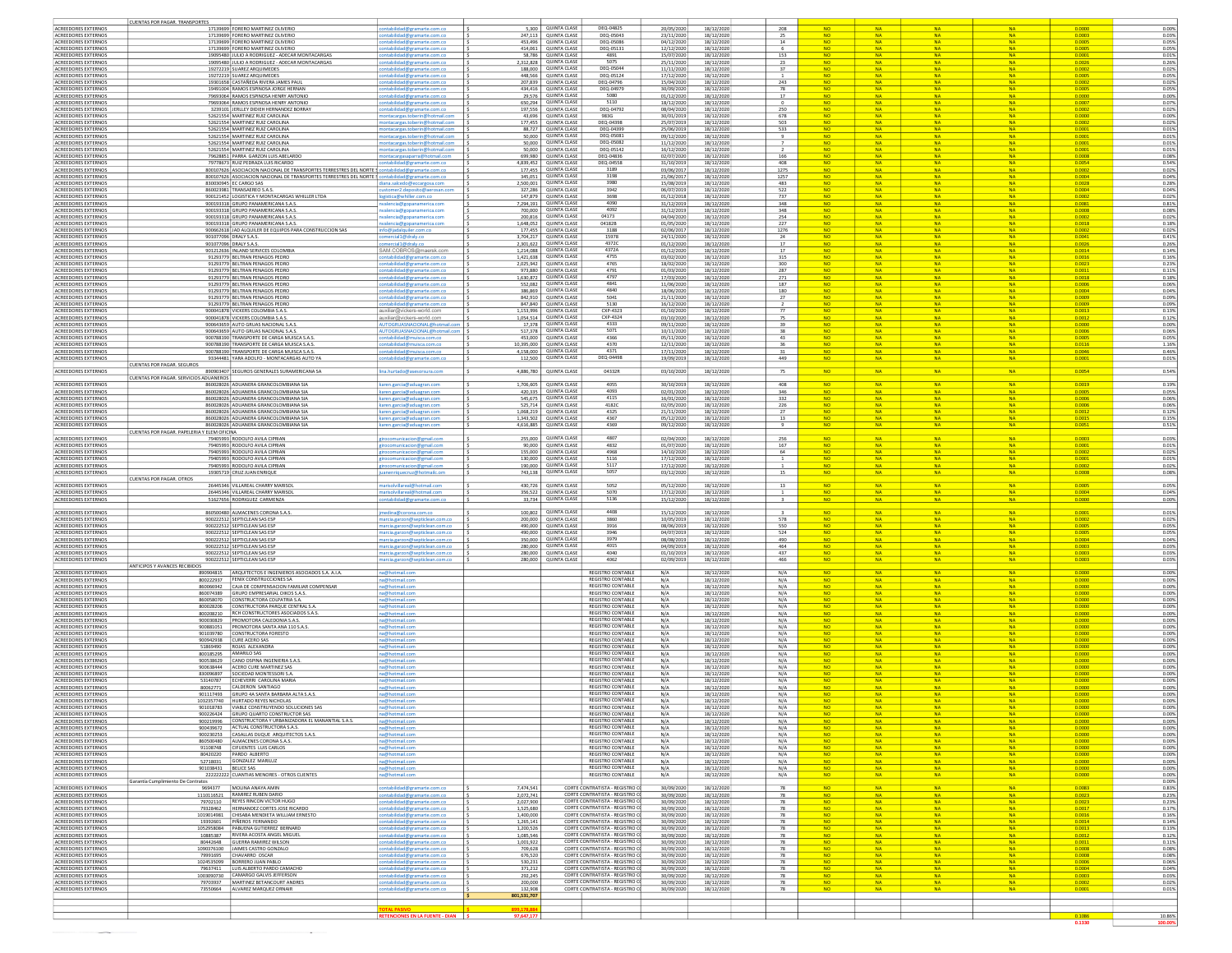|                                                   | CUENTAS POR PAGAR. TRANSPORTES                                                            |                                                                      |                                                                  |                        |                                            |                                                                  |                          |                          |                                  |                              |                        |                        |                        |                  |                |  |
|---------------------------------------------------|-------------------------------------------------------------------------------------------|----------------------------------------------------------------------|------------------------------------------------------------------|------------------------|--------------------------------------------|------------------------------------------------------------------|--------------------------|--------------------------|----------------------------------|------------------------------|------------------------|------------------------|------------------------|------------------|----------------|--|
| ACREEDORES EXTERNO:<br>ACREEDORES EXTERNOS        | 17139699 FORERO MARTINEZ OLIVERIO<br>17139699 FORERO MARTINEZ OLIVERIO                    |                                                                      | idad@gramarte.com.cc                                             | 5,300<br>247,113       | <b>QUINTA CLASE</b><br><b>QUINTA CLASE</b> | DEQ-04825<br>DEQ-05043                                           | 20/05/202<br>23/11/2020  | 18/12/2020<br>18/12/2020 | 208<br>25                        | NO.                          | <b>NA</b>              |                        | <b>NA</b>              | 0.0003           | 0.00%<br>0.03% |  |
| ACREEDORES EXTERNOS                               | 17139699 FORERO MARTINEZ OLIVERIO                                                         |                                                                      | bilidad@gramarte.com.co<br>lidad@gramarte.com.co                 | 453,496                | <b>OUINTA CLASE</b>                        | DEO-05086                                                        | 04/12/2020               | 18/12/2020               | 14                               | <b>NO</b>                    | <b>NA</b>              | <b>NA</b>              | <b>NA</b>              | 0.0005           | 0.05%          |  |
| ACREEDORES EXTERNOS<br>ACREEDORES EXTERNO:        | 17139699 FORERO MARTINEZ OLIVERIO<br>19095480 JULIO A RODRIGUEZ - ADECAR MONTACARGAS      |                                                                      | ilidad@gramarte.cor<br>bilidad@gramarte.com.co                   | 414,061<br>58,786      | QUINTA CLASE<br>QUINTA CLASE               | DEQ-05131<br>4891                                                | 12/12/202<br>15/07/202   | 18/12/2020<br>18/12/2020 | 6<br>153                         | <b>NO</b><br><b>NO</b>       | NA:<br>NA:             | <b>NA</b><br><b>NA</b> | <b>NA</b><br><b>NA</b> | 0.0005<br>0.0001 | 0.05%<br>0.01% |  |
| ACREEDORES EXTERNOS                               | 19095480 JULIO A RODRIGUEZ - ADECAR MONTACARGAS                                           |                                                                      | tabilidad@gramarte.com.co                                        | 2.312.828              | <b>QUINTA CLASE</b>                        | 5075                                                             | 25/11/202                | 18/12/2020               | 23                               | <b>NO</b>                    | NA.                    | <b>NA</b>              | N                      | 0.0026           | 0.26%          |  |
| ACREEDORES EXTERNOS<br><b>ACREEDORES EXTERNOS</b> | 19272219 SUAREZ ARQUIMEDES<br>19272219 SUAREZ ARQUIMEDES                                  |                                                                      | ntabilidad@gramarte.com.co<br>tabilidad@gramarte.com.co          | 188,000<br>448,566     | QUINTA CLASE<br><b>QUINTA CLASE</b>        | DEQ-05044<br>DEQ-05124                                           | 11/11/2020<br>17/12/2020 | 18/12/2020<br>18/12/2020 | 37<br><sup>1</sup>               | <b>NO</b><br><b>NO</b>       | <b>NA</b><br><b>NA</b> | <b>NA</b><br><b>NA</b> | <b>NA</b><br><b>NA</b> | 0.0002<br>0.0005 | 0.02%<br>0.05% |  |
| ACREEDORES EXTERNOS                               | 19301658 CASTAÑEDA RIVERA JAMES PAUL<br>19491004 RAMOS ESPINOSA JORGE HERNAN              |                                                                      | tabilidad@gramarte.com.co                                        | 207,839                | <b>QUINTA CLASE</b><br><b>QUINTA CLASE</b> | DEQ-04796<br>DEQ-04979                                           | 15/04/2020               | 18/12/2020               | 243                              | <b>NO</b><br><b>NO</b>       | <b>NA</b>              | <b>NA</b>              | <b>NA</b>              | 0.0002<br>0.0005 | 0.02%          |  |
| ACREEDORES EXTERNOS<br>ACREEDORES EXTERNOS        | 79693064 RAMOS ESPINOSA HENRY ANTONIO                                                     |                                                                      | iilidad@gramarte.com.co<br><u>abilidad@gramarte.com.co</u>       | 434,416<br>29,576      | QUINTA CLASE                               | 5080                                                             | 30/09/202<br>01/12/2020  | 18/12/2020<br>18/12/2020 | 78<br>17                         | <b>NO</b>                    | <b>NA</b>              | NA                     | N)                     | 0.0000           | 0.05%<br>0.00% |  |
| ACREEDORES EXTERNO:<br>ACREEDORES EXTERNOS        | 79693064 RAMOS ESPINOSA HENRY ANTONIC<br>3239101 JERLLEY DIDIEH HERNANDEZ BORRAY          |                                                                      | ilidad@gramarte.con<br>bilidad@gramarte.com.co                   | 650,294<br>197,556     | QUINTA CLASE<br>QUINTA CLASE               | 5110<br>DEQ-04792                                                | 18/12/202<br>08/04/202   | 18/12/2020<br>18/12/2020 | $\mathfrak o$                    | <b>NO</b>                    | <b>NA</b>              | <b>NA</b><br><b>N</b>  | <b>NA</b><br>N         | 0.0007<br>0.0002 | 0.07%<br>0.02% |  |
| ACREEDORES EXTERNOS                               | 52621554 MARTINEZ RUIZ CAROLINA                                                           |                                                                      | ntacargas.toberin@hotmail.com                                    | 43.696                 | QUINTA CLASE                               | 983G                                                             | 30/01/201                | 18/12/2020               | 250<br>678                       | <b>NO</b>                    | <b>NA</b>              | <b>NA</b>              | <b>NA</b>              | 0.0000           | 0.00%          |  |
| ACREEDORES EXTERNOS<br>ACREEDORES EXTERNOS        | 52621554 MARTINEZ RUIZ CAROLINA<br>52621554 MARTINEZ RUIZ CAROLINA                        |                                                                      | ntacargas.toberin@hotmail.com<br>ntacargas.toberin@hotmail.com   | 177,455<br>88,727      | <b>QUINTA CLASE</b><br><b>QUINTA CLASE</b> | DEQ-04398<br>DEQ-04399                                           | 25/07/2019<br>25/06/2019 | 18/12/2020<br>18/12/2020 | 503<br>533                       | <b>NO</b><br><b>NO</b>       | <b>NA</b><br><b>NA</b> | <b>NA</b><br><b>NA</b> | <b>NA</b><br><b>NA</b> | 0.0002<br>0.0001 | 0.02%<br>0.01% |  |
| ACREEDORES EXTERNOS                               | 52621554 MARTINEZ RUIZ CAROLINA                                                           |                                                                      | ntacargas.toberin@hotmail.com                                    | 50,000                 | <b>QUINTA CLASE</b>                        | DEQ-0508:                                                        | 09/12/2020               | 18/12/2020               | 9                                | <b>NO</b>                    | <b>NA</b>              | <b>NA</b>              | <b>NA</b>              | 0.0001           | 0.01%          |  |
| ACREEDORES EXTERNO:<br>ACREEDORES EXTERNO:        | 52621554 MARTINEZ RUIZ CAROLINA<br>52621554 MARTINEZ RUIZ CAROLINA                        |                                                                      | ntacargas.toberin@hotmail.com<br>tacargas.toberin@hotmail.com    | 50,000<br>50,000       | <b>QUINTA CLASE</b><br>QUINTA CLASE        | DEQ-05082<br>DEQ-05142                                           | 11/12/202<br>16/12/202   | 18/12/2020<br>18/12/2020 | $\overline{7}$<br>$\overline{2}$ | <b>NO</b>                    |                        | NA                     | <b>NA</b>              | 0.0001<br>0.0001 | 0.01%<br>0.01% |  |
| ACREEDORES EXTERNOS<br>ACREEDORES EXTERNO:        | 79628851 PARRA GARZON LUIS ABELARDO<br>79778673 RUIZ PEDRAZA LUIS RICARDO                 |                                                                      | bilidad@gramarte.com.co                                          | 699,980<br>4,839,452   | QUINTA CLASE<br>QUINTA CLASE               | DEQ-04836<br><b>DEQ-04558</b>                                    | 02/07/2020<br>31/10/201  | 18/12/202<br>18/12/2020  | 166<br>408                       | <b>NO</b>                    | NA.                    | <b>N</b><br><b>NA</b>  | N<br><b>NA</b>         | 0.0008<br>0.0054 | 0.08%<br>0.54% |  |
| ACREEDORES EXTERNOS                               |                                                                                           | 800107626 ASOCIACION NACIONAL DE TRANSPORTES TERRESTRES DEL NORTE    | abilidad@gramarte.com.co                                         | 177,455                | QUINTA CLASE                               | 3189                                                             | 03/06/201                | 18/12/2020               | 1275                             |                              | NA.                    | <b>N</b>               | <b>NA</b>              | 0.0002           | 0.02%          |  |
| ACREEDORES EXTERNOS<br><b>ACREEDORES EXTERNOS</b> | 830030945 EC CARGO SAS                                                                    | 800107626 ASOCIACION NACIONAL DE TRANSPORTES TERRESTRES DEL NORTE S  | abilidad@gramarte.com.co<br>iana.salcedo@eccargosa.com           | 345.051<br>2,500,001   | <b>QUINTA CLASE</b><br><b>QUINTA CLASE</b> | 3198<br>3980                                                     | 21/06/2017<br>15/08/2019 | 18/12/2020<br>18/12/2020 | 1257<br>483                      | <b>NO</b><br><b>NO</b>       | <b>NA</b><br><b>NA</b> | <b>NA</b><br><b>NA</b> | <b>NA</b><br><b>NA</b> | 0.0004<br>0.0028 | 0.04%<br>0.28% |  |
| ACREEDORES EXTERNOS                               | 860023981 TRANSAEREO S.A.S                                                                |                                                                      | tomer2.deposito@aerosan.com<br>i s                               | 327,286                | <b>QUINTA CLASE</b>                        | 3942                                                             | 06/07/2019               | 18/12/2020               | 522                              | <b>NO</b>                    | <b>NA</b>              | <b>NA</b>              | <b>NA</b>              | 0.0004           | 0.04%          |  |
| ACREEDORES EXTERNOS<br>ACREEDORES EXTERNOS        | 900121452 LOGISTICA Y MONTACARGAS WHILLER LTDA<br>900193318 GRUPO PANAMERICANA S.A.S.     |                                                                      | gistica@whiller.com.co<br>lencia@gopanamerica.cor                | 147,879<br>7,294,191   | <b>QUINTA CLASE</b><br>QUINTA CLASE        | 3698<br>4090                                                     | 01/12/201<br>31/12/2019  | 18/12/2020<br>18/12/2020 | 737<br>348                       | <b>NO</b>                    | <b>NA</b>              | N/                     | N/                     | 0.0081           | 0.02%<br>0.81% |  |
| ACREEDORES EXTERNOS<br>ACREEDORES EXTERNO:        | 900193318 GRUPO PANAMERICANA S.A.S.<br>900193318 GRUPO PANAMERICANA S.A.                  |                                                                      | tcia@gopanamerica.com<br>lencia@gopanamerica.com                 | 700,000<br>200,816     | <b>OUINTA CLASE</b><br>QUINTA CLASE        | 4092<br>04173                                                    | 31/12/2019<br>04/04/202  | 18/12/2020<br>18/12/2020 | 348<br>254                       | NO <sub>1</sub><br><b>NO</b> |                        | <b>NA</b><br><b>NA</b> | N)<br>N                | 0.0008<br>0.0002 | 0.08%<br>0.02% |  |
| ACREEDORES EXTERNO:                               | 900193318 GRUPO PANAMERICANA S.A.S                                                        |                                                                      | alencia@gopanamerica.co                                          | 1,648,052              | QUINTA CLASE                               | 04182B                                                           | 01/05/202                | 18/12/2020               | 227                              | <b>NO</b>                    | <b>NA</b>              | <b>NA</b>              | <b>NA</b>              | 0.0018           | 0.18%          |  |
| ACREEDORES EXTERNOS<br>ACREEDORES EXTERNOS        | 901077096 DRALY S.A.S.                                                                    | 900662618 JAD ALQUILER DE EQUIPOS PARA CONSTRUCCION SAS              | nfo@jadalquiler.com.co<br>omercial1@draly.co                     | 177,455<br>3,704,217   | <b>QUINTA CLASE</b><br><b>QUINTA CLASE</b> | 3188<br>15978                                                    | 02/06/201<br>24/11/2020  | 18/12/2020<br>18/12/2020 | 1276<br>24                       | <b>NO</b><br>NO.             | NA.<br><b>NA</b>       | <b>NA</b><br><b>NA</b> | <b>NA</b><br><b>NA</b> | 0.0002<br>0.0041 | 0.02%<br>0.41% |  |
| <b>ACREEDORES EXTERNOS</b>                        | 901077096 DRALY S.A.S.                                                                    |                                                                      | ercial1@draly.co                                                 | 2,301,622              | <b>QUINTA CLASE</b>                        | 43720                                                            | 01/12/2020               | 18/12/2020               | 17                               | <b>NO</b>                    | <b>NA</b>              | <b>NA</b>              | <b>NA</b>              | 0.0026           | 0.26%          |  |
| ACREEDORES EXTERNOS<br>ACREEDORES EXTERNO:        | 901212636 INLAND SERVICES COLOMBIA<br>91293779 BELTRAN PENAGOS PEDRO                      |                                                                      | SAM.COBROS@maersk.com<br>ilidad@gramarte.com.co                  | 1,214,088<br>1,421,638 | <b>QUINTA CLASE</b><br><b>QUINTA CLASE</b> | 4372A<br>4755                                                    | 01/12/2020<br>03/02/202  | 18/12/2020<br>18/12/2020 | 17<br>315                        | <b>NO</b>                    | <b>NA</b>              | <b>NA</b>              | <b>NA</b>              | 0.0014<br>0.0016 | 0.14%<br>0.16% |  |
| ACREEDORES EXTERNOS                               | 91293779 BELTRAN PENAGOS PEDRO                                                            |                                                                      | tabilidad@gramarte.com.co                                        | 2,025,942              | <b>QUINTA CLASE</b><br><b>QUINTA CLASE</b> | 4765                                                             | 18/02/2020               | 18/12/2020               | 300                              |                              |                        | <b>NA</b>              | <b>N/</b>              | 0.0023<br>0.0011 | 0.23%          |  |
| ACREEDORES EXTERNOS<br>ACREEDORES EXTERNOS        | 91293779 BELTRAN PENAGOS PEDRO<br>91293779 BELTRAN PENAGOS PEDRO                          |                                                                      | bilidad@gramarte.com.co<br>tabilidad@gramarte.com.co             | 973,880<br>1,630,872   | QUINTA CLASE                               | 4791<br>4797                                                     | 01/03/202<br>17/03/2020  | 18/12/2020<br>18/12/2020 | 287<br>271                       | <b>NO</b>                    | <b>NA</b>              | <b>NA</b>              | <b>NA</b>              | 0.0018           | 0.11%<br>0.18% |  |
| ACREEDORES EXTERNOS<br>ACREEDORES EXTERNOS        | 91293779 BELTRAN PENAGOS PEDRO<br>91293779 BELTRAN PENAGOS PEDRO                          |                                                                      | intabilidad@gramarte.com.co<br>intabilidad@gramarte.com.co       | 552.082<br>386,869     | QUINTA CLASE<br><b>QUINTA CLASE</b>        | 4841<br>4840                                                     | 11/06/202<br>18/06/2020  | 18/12/2020<br>18/12/2020 | 187                              | <b>NO</b><br><b>NO</b>       | NA.<br><b>NA</b>       | <b>NA</b><br><b>NA</b> | <b>NA</b><br><b>NA</b> | 0.0006<br>0.0004 | 0.06%<br>0.04% |  |
| ACREEDORES EXTERNOS                               | 91293779 BELTRAN PENAGOS PEDRO                                                            |                                                                      | tabilidad@gramarte.com.co                                        | 842,910                | <b>QUINTA CLASE</b>                        | 5041                                                             | 21/11/202                | 18/12/2020               | 180<br>27                        | <b>NO</b>                    | <b>NA</b>              | <b>NA</b>              | <b>NA</b>              | 0.0009           | 0.09%          |  |
| ACREEDORES EXTERNOS<br>ACREEDORES EXTERNO:        | 91293779 BELTRAN PENAGOS PEDRO<br>900041878 VICKERS COLOMBIA S.A.S.                       |                                                                      | abilidad@gramarte.com.c<br>uxiliar@vickers-world.com             | 847,840<br>1,153,996   | <b>QUINTA CLASE</b><br><b>QUINTA CLASE</b> | 5130<br>CXP-4323                                                 | 16/12/202<br>01/10/202   | 18/12/2020<br>18/12/2020 | $\frac{2}{77}$                   | <b>NO</b>                    | <b>NA</b>              | <b>NA</b>              | <b>NA</b>              | 0.0009<br>0.0013 | 0.09%<br>0.13% |  |
| ACREEDORES EXTERNOS                               | 900041878 VICKERS COLOMBIA S.A.S.                                                         |                                                                      | uxiliar@vickers-world.com                                        | 1,054,514              | <b>QUINTA CLASE</b><br><b>QUINTA CLASE</b> | CXP-4324                                                         | 03/10/2020               | 18/12/2020               | 75                               | <b>NO</b><br>NO              |                        | NA<br>NA               | N)<br>N                | 0.0012<br>0.0000 | 0.12%          |  |
| ACREEDORES EXTERNO:<br>ACREEDORES EXTERNOS        | 900643659 AUTO GRUAS NACIONAL S.A.<br>900643659 AUTO GRUAS NACIONAL S.A.S                 |                                                                      | <b>TOGRUASNACIONAL@hd</b>                                        | 17,378<br>517,378      | QUINTA CLASE                               | 4333<br>5071                                                     | 09/11/202<br>10/11/202   | 18/12/2020<br>18/12/2020 | 39<br>38                         | <b>NO</b>                    | <b>NA</b>              | <b>NA</b>              | <b>NA</b>              | 0.0006           | 0.00%<br>0.06% |  |
| ACREEDORES EXTERNOS<br>ACREEDORES EXTERNOS        | 900788190 TRANSPORTE DE CARGA MUISCA S.A.S<br>900788190 TRANSPORTE DE CARGA MUISCA S.A.S. |                                                                      | tabilidad@muisca.com.co<br>ntabilidad@muisca.com.co              | 453,000<br>10.395.000  | QUINTA CLASE<br><b>QUINTA CLASE</b>        | 4366<br>4370                                                     | 05/11/202<br>12/11/2020  | 18/12/2020<br>18/12/2020 | 43<br>36                         | <b>NO</b><br>NO.             | NA.<br><b>NA</b>       | <b>NA</b><br><b>NA</b> | <b>NA</b><br><b>NA</b> | 0.0005<br>0.0116 | 0.05%<br>1.16% |  |
| ACREEDORES EXTERNOS                               | 900788190 TRANSPORTE DE CARGA MUISCA S.A.S.                                               |                                                                      | tabilidad@muisca.com.co                                          | 4,158,000              | <b>QUINTA CLASE</b>                        | 4371                                                             | 17/11/2020               | 18/12/2020               | 31                               | <b>NO</b>                    | <b>NA</b>              | <b>NA</b>              | <b>NA</b>              | 0.0046           | 0.46%          |  |
| ACREEDORES EXTERNOS                               | 93344481 YARA ADOLFO - MONTACARGAS AUTO YA<br><b>UENTAS POR PAGAR. SEGURO</b>             |                                                                      | tabilidad@gramarte.com.co                                        | 112,500                | <b>QUINTA CLASE</b>                        | DEQ-04498                                                        | 19/09/2019               | 18/12/2020               | 449                              | <b>NO</b>                    | <b>NA</b>              | <b>NA</b>              | <b>NA</b>              | 0.0001           | 0.01%          |  |
| ACREEDORES EXTERNOS                               | 890903407 SEGUROS GENERALES SURAMERICANA SA<br>LUENTAS POR PAGAR, SERVICIOS ADUANEROS     |                                                                      | ia.hurtado@asesorsura.coi                                        | 4,886,780              | <b>QUINTA CLASE</b>                        | 04332R                                                           | 03/10/2020               | 18/12/2020               | 75                               | <b>NO</b>                    | <b>NA</b>              | <b>NA</b>              |                        | 0.0054           | 0.54%          |  |
| <b>ACREEDORES EXTERNOS</b>                        | 860028026 ADUANERA GRANCOLOMBIANA SIA                                                     |                                                                      | ren.garcia@aduagran.con                                          | 1.706.605              | QUINTA CLASE                               | 4055                                                             | 30/10/2019               | 18/12/2020               | 408                              | NO.                          | <b>NA</b>              | <b>NA</b>              | <b>NA</b>              | 0.0019           | 0.19%          |  |
| <b>ACREEDORES EXTERNOS</b><br>ACREEDORES EXTERNOS | 860028026 ADUANERA GRANCOLOMBIANA SIA<br>860028026 ADUANERA GRANCOLOMBIANA SIA            |                                                                      | aren.garcia@aduagran.com<br>aren.garcia@aduagran.com             | 420,335<br>545.675     | QUINTA CLASE<br><b>QUINTA CLASE</b>        | 4093<br>4115                                                     | 02/01/202<br>16/01/2020  | 18/12/2020<br>18/12/2020 | 346<br>332                       | NO.<br><b>NO</b>             | <b>NA</b><br><b>NA</b> | <b>NA</b><br><b>NA</b> | <b>NA</b><br><b>NA</b> | 0.0005<br>0.0006 | 0.05%<br>0.06% |  |
| ACREEDORES EXTERNOS                               | 860028026 ADUANERA GRANCOLOMBIANA SIA                                                     |                                                                      | taren.garcia@aduagran.com                                        | 525,714                | <b>QUINTA CLASE</b>                        | 4182C                                                            | 02/05/2020               | 18/12/2020               | 226                              | NO.                          | <b>NA</b>              | <b>NA</b>              | <b>NA</b>              | 0.0006           | 0.06%          |  |
| ACREEDORES EXTERNOS<br>ACREEDORES EXTERNOS        | 860028026 ADUANERA GRANCOLOMBIANA SIA<br>860028026 ADUANERA GRANCOLOMBIANA SIA            |                                                                      | aren.garcia@aduagran.com<br>karen.garcia@aduagran.com            | 1,068,219<br>1,343,502 | <b>QUINTA CLASE</b><br><b>QUINTA CLASE</b> | 4325<br>4367                                                     | 21/11/2020<br>05/12/2020 | 18/12/2020<br>18/12/2020 | 27<br>13                         | <b>NO</b><br><b>NO</b>       | <b>NA</b><br><b>NA</b> | <b>NA</b><br><b>NA</b> | <b>NA</b><br><b>NA</b> | 0.0012<br>0.0015 | 0.12%<br>0.15% |  |
| ACREEDORES EXTERNOS                               | 860028026 ADUANERA GRANCOLOMBIANA SIA<br>CUENTAS POR PAGAR, PAPELERIA Y ELEM OFICINA      |                                                                      | aren.garcia@aduagran.com                                         | 4,616,885              | <b>QUINTA CLASE</b>                        | 4369                                                             | 09/12/202                | 18/12/2020               | 9                                | <b>NO</b>                    | <b>NA</b>              | <b>NA</b>              |                        | 0.0051           | 0.51%          |  |
| ACREEDORES EXTERNOS                               | 79405993 RODOLFO AVILA CIPRIAN                                                            |                                                                      | cacion@gmail.cor                                                 | 255,000                | OUINTA CLASE                               | 4807                                                             | 02/04/202                | 18/12/2020               | 256                              | NO.                          | <b>NA</b>              | <b>NA</b>              | <b>NA</b>              | 0.0003           | 0.03%          |  |
| ACREEDORES EXTERNOS<br>ACREEDORES EXTERNOS        | 79405993 RODOLFO AVILA CIPRIAN<br><b>79405993 RODOLFO AVILA CIPRIAN</b>                   |                                                                      | nunicacion@gmail.cor<br>omunicacion@gmail.com                    | 90,000<br>155,000      | QUINTA CLASE<br>QUINTA CLASE               | 4832<br>4968                                                     | 01/07/2020<br>14/10/202  | 18/12/2020<br>18/12/2020 | 167<br>64                        | <b>NO</b><br><b>NO</b>       | <b>NA</b><br>NA:       | <b>NA</b><br><b>NA</b> | <b>NA</b><br><b>NA</b> | 0.0001<br>0.0002 | 0.01%<br>0.02% |  |
| ACREEDORES EXTERNOS                               | 79405993 RODOLFO AVILA CIPRIAN                                                            |                                                                      | omunicacion@gmail.com                                            | 130,000                | <b>QUINTA CLASE</b>                        | 5116                                                             | 17/12/2020               | 18/12/2020               | $\overline{1}$                   | <b>NO</b>                    | <b>NA</b>              | <b>NA</b>              | <b>NA</b>              | 0.0001           | 0.01%          |  |
| ACREEDORES EXTERNOS<br>ACREEDORES EXTERNOS        | 79405993 RODOLFO AVILA CIPRIAN<br>19305719 CRUZ JUAN ENRIQUE                              |                                                                      | municacion@gmail.com<br>enriquecruz@hotmailc.om                  | 190,000<br>743,138     | <b>QUINTA CLASE</b><br><b>QUINTA CLASE</b> | 5117<br>5057                                                     | 17/12/202<br>03/12/2020  | 18/12/2020<br>18/12/2020 | <sup>1</sup><br>15               | <b>NO</b><br><b>NO</b>       | <b>NA</b><br><b>NA</b> | <b>NA</b><br><b>NA</b> | <b>NA</b><br><b>NA</b> | 0.0002<br>0.0008 | 0.02%<br>0.08% |  |
| ACREEDORES EXTERNOS                               | <b>CUENTAS POR PAGAR. OTROS</b><br>26445346 VILLAREAL CHARRY MARISOL                      |                                                                      |                                                                  | 430,726                | <b>QUINTA CLASE</b>                        | 5052                                                             |                          |                          |                                  |                              | <b>NA</b>              | <b>NA</b>              | <b>NA</b>              |                  |                |  |
| ACREEDORES EXTERNOS                               | 26445346 VILLAREAL CHARRY MARISO                                                          |                                                                      | solvillareal@hotmail.com                                         | 356,522                | QUINTA CLASE                               | 5070                                                             | 05/12/2020<br>17/12/2020 | 18/12/2020<br>18/12/2020 | 13                               | <b>NO</b><br><b>NO</b>       | <b>NA</b>              | <b>NA</b>              | <b>NA</b>              | 0.0005<br>0.0004 | 0.05%<br>0.04% |  |
| ACREEDORES EXTERNOS                               | 51627656 RODRIGUEZ CARMENZA                                                               |                                                                      | didad@gramarte.com.                                              | 33,734                 | QUINTA CLASE                               | 5136                                                             | 15/12/202                | 18/12/2020               | $\overline{\mathbf{3}}$          | <b>NO</b>                    | NA                     | <b>NA</b>              | <b>NA</b>              | 0.0000           | 0.00%          |  |
| ACREEDORES EXTERNOS                               | 860500480 ALMACENES CORONA S.A.S.                                                         |                                                                      | edina@corona.com.co                                              | 100.802                | <b>QUINTA CLASE</b>                        | 4408                                                             | 15/12/2020               | 18/12/2020               | $\overline{\mathbf{3}}$          | <b>NO</b>                    | <b>NA</b>              | <b>NA</b>              | <b>NA</b>              | 0.0001           | 0.01%          |  |
| ACREEDORES EXTERNOS<br>ACREEDORES EXTERNOS        | 900222512 SEPTICLEAN SAS ESP<br>900222512 SEPTICLEAN SAS ESP                              |                                                                      | arcia.garzon@septiclean.com.co<br>arcia.garzon@septiclean.com.co | 200,000<br>490,000     | <b>QUINTA CLASE</b><br><b>QUINTA CLASE</b> | 3860<br>3916                                                     | 10/05/2019<br>08/06/2019 | 18/12/2020<br>18/12/2020 | 578<br>550                       | <b>NO</b><br><b>NO</b>       | <b>NA</b><br><b>NA</b> | <b>NA</b><br><b>NA</b> | <b>NA</b><br><b>NA</b> | 0.0002<br>0.0005 | 0.02%<br>0.05% |  |
| ACREEDORES EXTERNOS                               | 900222512 SEPTICLEAN SAS ESP                                                              |                                                                      | arcia.garzon@septiclean.com.co                                   | 490,000                | <b>QUINTA CLASE</b><br><b>QUINTA CLASE</b> | 3946<br>3979                                                     | 04/07/2019               | 18/12/2020               | 524                              |                              | <b>NA</b>              | <b>NA</b>              | <b>NA</b>              | 0.0005           | 0.05%          |  |
| ACREEDORES EXTERNOS<br>ACREEDORES EXTERNOS        | 900222512 SEPTICLEAN SAS ESP<br>900222512 SEPTICLEAN SAS ESP                              |                                                                      | arcia.garzon@septiclean.com.co<br>rcia.garzon@septiclean.com.co  | 350,000<br>280,000     | QUINTA CLASE                               | 4015                                                             | 08/08/2019<br>04/09/2019 | 18/12/2020<br>18/12/2020 | 490<br>464                       | <b>NO</b><br>NO              | <b>NA</b><br><b>NA</b> | <b>NA</b>              | <b>NA</b>              | 0.0004<br>0.0003 | 0.04%<br>0.03% |  |
| ACREEDORES EXTERNOS<br><b>ACREEDORES EXTERNOS</b> | 900222512 SEPTICLEAN SAS ESP<br>900222512 SEPTICLEAN SAS ESP                              |                                                                      | ercia.garzon@septiclean.com.co                                   | 280,000<br>280,000     | QUINTA CLASE<br>QUINTA CLASE               | 4040<br>4062                                                     | 01/10/201<br>02/09/201   | 18/12/2020               | 437<br>466                       | <b>NO</b><br><b>NO</b>       | <b>NA</b><br><b>NA</b> | <b>NA</b><br><b>NA</b> | <b>NA</b><br><b>NA</b> | 0.0003<br>0.0003 | 0.03%<br>0.03% |  |
|                                                   | ANTICIPOS Y AVANCES RECIBIDOS                                                             |                                                                      |                                                                  |                        |                                            |                                                                  |                          | 18/12/2020               |                                  |                              |                        |                        |                        |                  |                |  |
| ACREEDORES EXTERNOS<br><b>ACREEDORES EXTERNOS</b> | 890904815<br>800222937 FENIX CONSTRUCCIONES SA                                            | ARQUITECTOS E INGENIEROS ASOCIADOS S.A. A.I.A.                       | na@hotmail.com<br>a@hotmail.com                                  |                        |                                            | <b>REGISTRO CONTABLE</b><br>REGISTRO CONTABLE                    | N/A<br>N/A               | 18/12/2020<br>18/12/2020 | N/A<br>N/A                       | <b>NO</b><br><b>NO</b>       | <b>NA</b><br><b>NA</b> | <b>NA</b><br><b>NA</b> | <b>NA</b><br><b>NA</b> | 0.0000<br>0.0000 | 0.00%<br>0.00% |  |
| ACREEDORES EXTERNOS                               | 860066942                                                                                 | CAJA DE COMPENSACION FAMILIAR COMPENSAR                              | na@hotmail.com                                                   |                        |                                            | <b>REGISTRO CONTABLE</b>                                         | N/A                      | 18/12/2020               | N/A                              | <b>NO</b>                    | <b>NA</b>              | <b>NA</b>              | <b>NA</b>              | 0.0000           | 0.00%          |  |
| ACREEDORES EXTERNOS<br>ACREEDORES EXTERNOS        | GRUPO EMPRESARIAL OIKOS S.A.S.<br>860074389<br>CONSTRUCTORA COLPATRIA S.A.<br>860058070   |                                                                      | @hotmail.com<br>a@hotmail.con                                    |                        |                                            | REGISTRO CONTABLE<br><b>REGISTRO CONTABLE</b>                    | N/A<br>N/A               | 18/12/2020<br>18/12/2020 | N/A<br>N/A                       | <b>NO</b><br><b>NO</b>       | <b>NA</b>              | <b>NA</b><br><b>NA</b> | N)                     | 0.0000<br>0.0000 | 0.00%<br>0.00% |  |
| ACREEDORES EXTERNO:                               | 800028206                                                                                 | CONSTRUCTORA PARQUE CENTRAL S.A<br>RCH CONSTRUCTORES ASOCIADOS S.A.S |                                                                  |                        |                                            | <b>REGISTRO CONTABLE</b><br><b>REGISTRO CONTABLE</b>             | N/A                      | 18/12/2020               | N/A                              | <b>NO</b><br><b>NO</b>       | NA.                    | <b>NA</b><br><b>N</b>  | <b>NA</b><br>N         | 0.0000<br>0.0000 | 0.00%          |  |
| <b>ACREEDORES EXTERNOS</b><br>ACREEDORES EXTERNOS | 800208210<br>900030829<br>PROMOTORA CALEDONIA S.A.S.                                      |                                                                      | @hotmail.co<br>a@hotmail.com                                     |                        |                                            | <b>REGISTRO CONTABLE</b>                                         | $N/\Delta$<br>N/A        | 18/12/2020<br>18/12/2020 | N/A<br>N/A                       | <b>NO</b>                    | <b>NA</b>              | <b>NA</b>              | <b>NA</b>              | 0.0000           | 0.00%<br>0.00% |  |
| ACREEDORES EXTERNOS<br><b>ACREEDORES EXTERNOS</b> | PROMOTORA SANTA ANA 110 S.A.S<br>900881051<br>901039780 CONSTRUCTORA FORESTO              |                                                                      | a@hotmail.com<br>a@hotmail.com                                   |                        |                                            | <b>REGISTRO CONTABLE</b><br><b>REGISTRO CONTABLE</b>             | N/A<br>N/A               | 18/12/2020<br>18/12/2020 | N/A<br>N/A                       | <b>NO</b><br><b>NO</b>       | <b>NA</b><br><b>NA</b> | <b>NA</b><br><b>NA</b> | N<br><b>NA</b>         | 0.0000<br>0.0000 | 0.00%<br>0.00% |  |
| ACREEDORES EXTERNOS                               | 900942938 CURE ACERO SAS                                                                  |                                                                      | a@hotmail.com                                                    |                        |                                            | <b>REGISTRO CONTABLE</b>                                         | N/A                      | 18/12/2020               | N/A                              | <b>NO</b>                    | <b>NA</b>              | <b>NA</b>              | <b>NA</b>              | 0.0000           | 0.00%          |  |
| ACREEDORES EXTERNO:<br>ACREEDORES EXTERNO:        | ROJAS ALEXANDR<br>51869490<br>800185295<br>AMARILO SAS                                    |                                                                      | a@hotmail.con<br>@hotmail.co                                     |                        |                                            | <b>REGISTRO CONTABLE</b><br><b>REGISTRO CONTABLE</b>             | N/A<br>N/A               | 18/12/2020<br>18/12/2020 | N/A<br>N/A                       | <b>NO</b>                    |                        | NA                     | <b>NA</b>              | 0.0000<br>0.0000 | 0.00%<br>0.00% |  |
| ACREEDORES EXTERNOS<br>ACREEDORES EXTERNO:        | CANO OSPINA INGENIERIA S.A.S<br>900538629<br>900638444<br>ACERO CURE MARTINEZ SAS         |                                                                      | @hotmail.com                                                     |                        |                                            | <b>REGISTRO CONTABLE</b><br><b>REGISTRO CONTABLE</b>             | N/A<br>N/A               | 18/12/2020<br>18/12/2020 | N/A<br>N/A                       | <b>NO</b>                    | <b>NA</b>              | <b>N</b><br><b>NA</b>  | N<br><b>NA</b>         | 0.0000<br>0.0000 | 0.00%<br>0.00% |  |
| ACREEDORES EXTERNOS                               | 830096897 SOCIEDAD MONTESSORI S.A.                                                        |                                                                      | @hotmail.co                                                      |                        |                                            | <b>REGISTRO CONTABLE</b>                                         | N/A                      | 18/12/2020               | N/A                              |                              | NA.                    | <b>N</b>               | <b>NA</b>              | 0.0000           | 0.00%          |  |
| ACREEDORES EXTERNOS<br>ACREEDORES EXTERNOS        | 53140787<br>FCHEVERRI CAROLINA MARIA<br>80062771 CALDERON SANTIAGO                        |                                                                      | a@hotmail.com<br>a@hotmail.com                                   |                        |                                            | <b>REGISTRO CONTABLE</b><br><b>REGISTRO CONTABLE</b>             | N/A<br>N/A               | 18/12/2020<br>18/12/2020 | N/A<br>N/A                       | <b>NO</b><br><b>NO</b>       | <b>NA</b><br><b>NA</b> | <b>NA</b><br><b>NA</b> | <b>NA</b><br><b>NA</b> | 0.0000<br>0.0000 | 0.00%<br>0.00% |  |
| ACREEDORES EXTERNOS<br>ACREEDORES EXTERNOS        | 901117493 GRUPO 4A SANTA BARBARA ALTA S.A.S<br>1032357740 HURTADO REYES NICHOLAS          |                                                                      | na@hotmail.com                                                   |                        |                                            | <b>REGISTRO CONTABLE</b><br><b>REGISTRO CONTABLE</b>             | N/A<br>N/A               | 18/12/2020<br>18/12/2020 | N/A<br>N/A                       | <b>NO</b>                    | <b>NA</b><br><b>NA</b> | <b>NA</b>              | <b>NA</b><br><b>NA</b> | 0.0000           | 0.00%<br>0.00% |  |
| ACREEDORES EXTERNOS                               | 901018783 VIABLE CONSTRUYENDO SOLUCIONES SAS                                              |                                                                      | tmail.cor                                                        |                        |                                            | <b>REGISTRO CONTABLE</b>                                         | N/A                      | 18/12/2020               | N/A                              |                              | <b>NA</b>              | N/                     | <b>NA</b>              | 0.0000           | 0.00%          |  |
| ACREEDORES EXTERNOS<br>ACREEDORES EXTERNOS        | 900226424                                                                                 | 900219996 CONSTRUCTORA Y URBANIZADORA EL MANANTIAL S.A.S.            | a@hotmail.com                                                    |                        |                                            | REGISTRO CONTABLE                                                | N/A<br>N/A               | 18/12/202<br>18/12/2020  | N/A                              | <b>NO</b>                    | <b>NA</b>              | <b>NA</b>              | <b>NA</b>              | 0.0000           | 0.00%<br>0.00% |  |
| ACREEDORES EXTERNOS                               | ACTUAL CONSTRUCTORA S.A.S.<br>900439672                                                   |                                                                      | a@hotmail.com                                                    |                        |                                            | REGISTRO CONTABLE                                                | N/A                      | 18/12/2020               | N/A                              | NO                           | NA                     | NA                     | <b>NA</b>              | 0.0000           | 0.00%          |  |
| ACREEDORES EXTERNOS<br>ACREEDORES EXTERNOS        | 900230253 CASALLAS DUQUE ARQUITECTOS S.A.S.<br>860500480 ALMACENES CORONA S.A.S.          |                                                                      | a@hotmail.com<br>na@hotmail.com                                  |                        |                                            | <b>REGISTRO CONTABLE</b><br><b>REGISTRO CONTABLE</b>             | N/A<br>N/A               | 18/12/2020<br>18/12/2020 | N/A<br>N/A                       | <b>NO</b><br>NO.             | <b>NA</b><br><b>NA</b> | <b>NA</b><br><b>NA</b> | <b>NA</b><br><b>NA</b> | 0.0000<br>0.0000 | 0.00%<br>0.00% |  |
| ACREEDORES EXTERNOS<br>ACREEDORES EXTERNOS        | 91108748 CIFUENTES LUIS CARLOS<br>80420220 PARDO ALBERTO                                  |                                                                      | na@hotmail.com                                                   |                        |                                            | <b>REGISTRO CONTABLE</b><br><b>REGISTRO CONTABLE</b>             | N/A                      | 18/12/2020               | N/A<br>N/A                       | <b>NO</b><br><b>NO</b>       | NA.<br>NA              | <b>NA</b><br><b>NA</b> | <b>NA</b><br><b>NA</b> | 0.0000<br>0.0000 | 0.00%<br>0.00% |  |
| ACREEDORES EXTERNOS                               | 52718031 GONZALEZ MARILUZ                                                                 |                                                                      | na@hotmail.com<br>@hotmail.com                                   |                        |                                            | REGISTRO CONTABLE                                                | N/A<br>N/A               | 18/12/2020<br>18/12/2020 | N/A                              | <b>NO</b>                    | NA.                    | <b>NA</b>              | <b>NA</b>              | 0.0000           | 0.00%          |  |
| ACREEDORES EXTERNOS<br>ACREEDORES EXTERNOS        | 901038431 BELICE SAS<br>222222222 CUANTIAS MENORES - OTROS CLIENTES                       |                                                                      | a@hotmail.com<br>@hotmail.com                                    |                        |                                            | <b>REGISTRO CONTABLE</b><br>REGISTRO CONTABLE                    | N/A<br>N/A               | 18/12/2020<br>18/12/2020 | N/A<br>N/A                       | <b>NO</b><br><b>NO</b>       | <b>NA</b><br><b>NA</b> | <b>NA</b><br><b>NA</b> | <b>NA</b><br><b>NA</b> | 0.0000<br>0.0000 | 0.00%<br>0.00% |  |
| ACREEDORES EXTERNOS                               | Garantía Cumplimiento De Contratos<br>9694377 MOLINA ANAYA AMIN                           |                                                                      |                                                                  | 7.474.541              |                                            | CORTE CONTRATISTA - REGISTRO C                                   | 30/09/2020               | 18/12/2020               | 78                               | NO.                          | <b>NA</b>              | <b>NA</b>              | <b>NA</b>              | 0.0083           | 0.00%<br>0.83% |  |
| ACREEDORES EXTERNOS                               | 1110116521 RAMIREZ RUBEN DARIO                                                            |                                                                      | ontabilidad@gramarte.com.co<br>ontabilidad@gramarte.com.co       | 2,072,741              |                                            | CORTE CONTRATISTA - REGISTRO C                                   | 30/09/2020               | 18/12/2020               | 78                               | NO.                          | <b>NA</b>              | <b>NA</b>              | <b>NA</b>              | 0.0023           | 0.23%          |  |
| ACREEDORES EXTERNOS<br>ACREEDORES EXTERNOS        | 79702110 REYES RINCON VICTOR HUGO<br>HERNANDEZ CORTES JOSE RICARDO<br>79328462            |                                                                      | ntabilidad@gramarte.com.co<br>tabilidad@gramarte.com.co          | 2,027,900<br>1,525,680 |                                            | CORTE CONTRATISTA - REGISTRO O<br>CORTE CONTRATISTA - REGISTRO   | 30/09/2020<br>30/09/2020 | 18/12/2020<br>18/12/2020 | 78                               | <b>NO</b><br><b>NO</b>       | NA.<br><b>NA</b>       | <b>NA</b><br><b>NA</b> | <b>NA</b><br><b>NA</b> | 0.0023<br>0.0017 | 0.23%<br>0.17% |  |
| ACREEDORES EXTERNOS                               | 1019014981 CHISABA MENDIETA WILLIAM ERNESTO                                               |                                                                      | abilidad@gramarte.com.co                                         | 1,400,000              |                                            | CORTE CONTRATISTA - REGISTRO<br>CORTE CONTRATISTA - REGISTRO     | 30/09/202                | 18/12/2020               | $\frac{78}{78}$                  |                              |                        |                        |                        | 0.0016           | 0.16%          |  |
| ACREEDORES EXTERNOS<br>ACREEDORES EXTERNOS        | 19392601<br>PIÑEROS FERNANDO<br>1052958084 PABUENA GUTIERREZ BERNARD                      |                                                                      | tabilidad@gramarte.com.co<br>abilidad@gramarte.com.co            | 1,265,141<br>1,200,526 |                                            | CORTE CONTRATISTA - REGISTRO                                     | 30/09/202<br>30/09/202   | 18/12/2020<br>18/12/2020 | 78<br>78                         | <b>NO</b>                    | <b>NA</b><br><b>NA</b> | <b>NA</b><br><b>NA</b> | <b>NA</b><br><b>NA</b> | 0.0014<br>0.0013 | 0.14%<br>0.13% |  |
| ACREEDORES EXTERNOS<br>ACREEDORES EXTERNOS        | 10885387 RIVERA ACOSTA ANGEL MIGUEL<br>80442648 GUERRA RAMIREZ WILSON                     |                                                                      | ntabilidad@gramarte.com.co<br>ntabilidad@gramarte.com.co         | 1,085,546<br>1,001,922 |                                            | CORTE CONTRATISTA - REGISTRO O<br>CORTE CONTRATISTA - REGISTRO C | 30/09/202<br>30/09/2020  | 18/12/2020<br>18/12/2020 | 78<br>78                         | <b>NO</b><br><b>NO</b>       | <b>NA</b><br><b>NA</b> | <b>NA</b><br><b>NA</b> | <b>NA</b><br><b>NA</b> | 0.0012<br>0.0011 | 0.12%<br>0.11% |  |
| ACREEDORES EXTERNOS                               | 1090376100 JAIMES CASTRO GONZALO                                                          |                                                                      | ontabilidad@gramarte.com.co                                      | 709.628                |                                            | CORTE CONTRATISTA - REGISTRO CO                                  | 30/09/2020               | 18/12/2020               | 78                               | NO.                          | <b>NA</b>              | <b>NA</b>              | <b>NA</b>              | 0.0008           | 0.08%          |  |
| ACREEDORES EXTERNOS<br>ACREEDORES EXTERNOS        | 79991695 CHAVARRO OSCAR<br>1024535099 BORRERO JUAN PABLO                                  |                                                                      | tabilidad@gramarte.com.co<br>ntabilidad@gramarte.com.co          | 676,520<br>530,231     |                                            | CORTE CONTRATISTA - REGISTRO CO<br>CORTE CONTRATISTA - REGISTRO  | 30/09/2020<br>30/09/2020 | 18/12/2020<br>18/12/2020 | 78                               | <b>NO</b><br><b>NO</b>       | <b>NA</b><br><b>NA</b> | <b>NA</b><br><b>NA</b> | <b>NA</b><br><b>NA</b> | 0.0008<br>0.0006 | 0.08%<br>0.06% |  |
| ACREEDORES EXTERNOS<br>ACREEDORES EXTERNOS        | LUIS ALBERTO PARDO CAMACHO<br>79637411<br>1003090730 CAMARGO GALVIS JEFFERSON             |                                                                      | abilidad@gramarte.com.co                                         | 371,21<br>292,245      |                                            | CORTE CONTRATISTA - REGISTRO<br>CORTE CONTRATISTA - REGISTRO     | 30/09/202<br>30/09/2020  | 18/12/2020<br>18/12/2020 | $\frac{78}{78}$<br>78            | <b>NO</b>                    | <b>NA</b><br><b>NA</b> | <b>NA</b>              | <b>NA</b><br><b>NA</b> | 0.0004<br>0.0003 | 0.04%<br>0.03% |  |
| ACREEDORES EXTERNOS                               | MARTINEZ BETANCOURT ANDRES<br>79703937                                                    |                                                                      | tabilidad@gramarte.com.co<br>ntabilidad@gramarte.com.co          | 200,000                |                                            | CORTE CONTRATISTA - REGISTRO 6                                   | 30/09/2020               | 18/12/2020               | 78                               | <b>NO</b>                    | NA                     | <b>NA</b>              | <b>NA</b>              | 0.0002           | 0.02%          |  |
| ACREEDORES EXTERNOS                               | 73550664 ALVAREZ MARQUEZ ORNAIR                                                           |                                                                      | abilidad@gramarte.com.co                                         | 132,908<br>801,531,707 |                                            | CORTE CONTRATISTA - REGISTRO O                                   | 30/09/2020               | 18/12/2020               | 78                               | <b>NO</b>                    | <b>NA</b>              | <b>NA</b>              | <b>NA</b>              | 0.0001           | 0.01%          |  |
|                                                   |                                                                                           |                                                                      |                                                                  |                        |                                            |                                                                  |                          |                          |                                  |                              |                        |                        |                        |                  |                |  |
|                                                   |                                                                                           |                                                                      | <b>RETENCIONES EN LA FUENTE - DIAN \$</b>                        | 97,647,177             |                                            |                                                                  |                          |                          |                                  |                              |                        |                        |                        | 0.1086           | 10.86%         |  |
|                                                   |                                                                                           |                                                                      |                                                                  |                        |                                            |                                                                  |                          |                          |                                  |                              |                        |                        |                        | 0.1330           | 100.00%        |  |